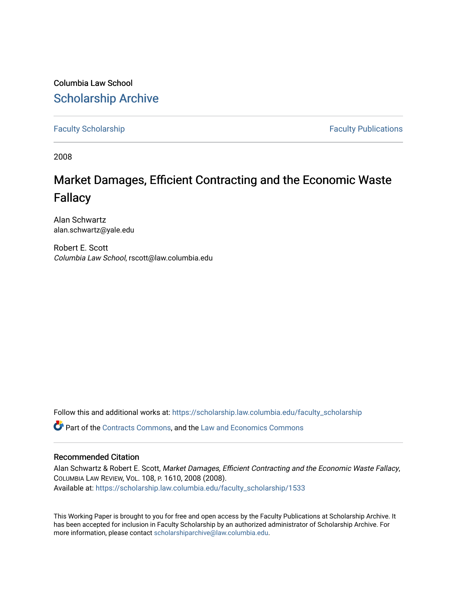Columbia Law School [Scholarship Archive](https://scholarship.law.columbia.edu/) 

[Faculty Scholarship](https://scholarship.law.columbia.edu/faculty_scholarship) **Faculty Scholarship** Faculty Publications

2008

# Market Damages, Efficient Contracting and the Economic Waste Fallacy

Alan Schwartz alan.schwartz@yale.edu

Robert E. Scott Columbia Law School, rscott@law.columbia.edu

Follow this and additional works at: [https://scholarship.law.columbia.edu/faculty\\_scholarship](https://scholarship.law.columbia.edu/faculty_scholarship?utm_source=scholarship.law.columbia.edu%2Ffaculty_scholarship%2F1533&utm_medium=PDF&utm_campaign=PDFCoverPages)

Part of the [Contracts Commons](http://network.bepress.com/hgg/discipline/591?utm_source=scholarship.law.columbia.edu%2Ffaculty_scholarship%2F1533&utm_medium=PDF&utm_campaign=PDFCoverPages), and the [Law and Economics Commons](http://network.bepress.com/hgg/discipline/612?utm_source=scholarship.law.columbia.edu%2Ffaculty_scholarship%2F1533&utm_medium=PDF&utm_campaign=PDFCoverPages) 

# Recommended Citation

Alan Schwartz & Robert E. Scott, Market Damages, Efficient Contracting and the Economic Waste Fallacy, COLUMBIA LAW REVIEW, VOL. 108, P. 1610, 2008 (2008). Available at: [https://scholarship.law.columbia.edu/faculty\\_scholarship/1533](https://scholarship.law.columbia.edu/faculty_scholarship/1533?utm_source=scholarship.law.columbia.edu%2Ffaculty_scholarship%2F1533&utm_medium=PDF&utm_campaign=PDFCoverPages)

This Working Paper is brought to you for free and open access by the Faculty Publications at Scholarship Archive. It has been accepted for inclusion in Faculty Scholarship by an authorized administrator of Scholarship Archive. For more information, please contact [scholarshiparchive@law.columbia.edu.](mailto:scholarshiparchive@law.columbia.edu)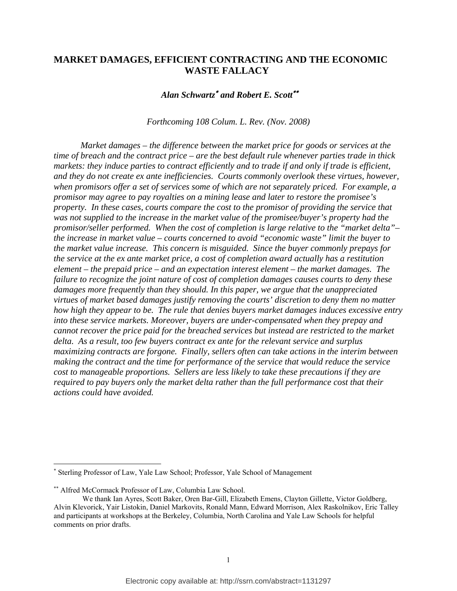# **MARKET DAMAGES, EFFICIENT CONTRACTING AND THE ECONOMIC WASTE FALLACY**

*Alan Schwartz*<sup>∗</sup> *and Robert E. Scott*∗∗

*Forthcoming 108 Colum. L. Rev. (Nov. 2008)* 

*Market damages – the difference between the market price for goods or services at the time of breach and the contract price – are the best default rule whenever parties trade in thick markets: they induce parties to contract efficiently and to trade if and only if trade is efficient, and they do not create ex ante inefficiencies. Courts commonly overlook these virtues, however, when promisors offer a set of services some of which are not separately priced. For example, a promisor may agree to pay royalties on a mining lease and later to restore the promisee's property. In these cases, courts compare the cost to the promisor of providing the service that was not supplied to the increase in the market value of the promisee/buyer's property had the promisor/seller performed. When the cost of completion is large relative to the "market delta"– the increase in market value – courts concerned to avoid "economic waste" limit the buyer to the market value increase. This concern is misguided. Since the buyer commonly prepays for the service at the ex ante market price, a cost of completion award actually has a restitution element – the prepaid price – and an expectation interest element – the market damages. The failure to recognize the joint nature of cost of completion damages causes courts to deny these damages more frequently than they should. In this paper, we argue that the unappreciated virtues of market based damages justify removing the courts' discretion to deny them no matter how high they appear to be. The rule that denies buyers market damages induces excessive entry into these service markets. Moreover, buyers are under-compensated when they prepay and cannot recover the price paid for the breached services but instead are restricted to the market delta. As a result, too few buyers contract ex ante for the relevant service and surplus maximizing contracts are forgone. Finally, sellers often can take actions in the interim between making the contract and the time for performance of the service that would reduce the service cost to manageable proportions. Sellers are less likely to take these precautions if they are required to pay buyers only the market delta rather than the full performance cost that their actions could have avoided.* 

<sup>∗</sup> Sterling Professor of Law, Yale Law School; Professor, Yale School of Management

<sup>∗∗</sup> Alfred McCormack Professor of Law, Columbia Law School.

We thank Ian Ayres, Scott Baker, Oren Bar-Gill, Elizabeth Emens, Clayton Gillette, Victor Goldberg, Alvin Klevorick, Yair Listokin, Daniel Markovits, Ronald Mann, Edward Morrison, Alex Raskolnikov, Eric Talley and participants at workshops at the Berkeley, Columbia, North Carolina and Yale Law Schools for helpful comments on prior drafts.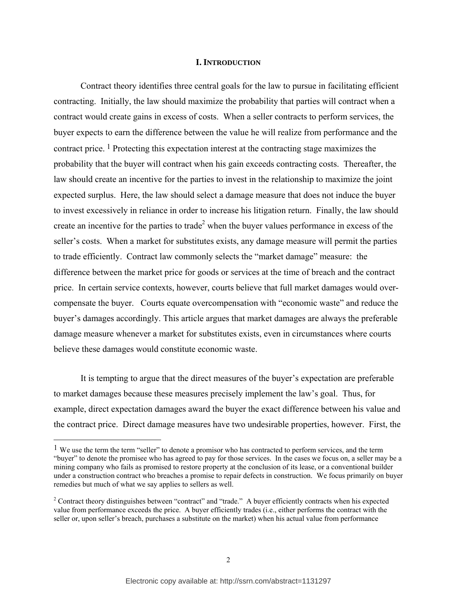## **I. INTRODUCTION**

Contract theory identifies three central goals for the law to pursue in facilitating efficient contracting. Initially, the law should maximize the probability that parties will contract when a contract would create gains in excess of costs. When a seller contracts to perform services, the buyer expects to earn the difference between the value he will realize from performance and the contract price. 1 Protecting this expectation interest at the contracting stage maximizes the probability that the buyer will contract when his gain exceeds contracting costs. Thereafter, the law should create an incentive for the parties to invest in the relationship to maximize the joint expected surplus. Here, the law should select a damage measure that does not induce the buyer to invest excessively in reliance in order to increase his litigation return. Finally, the law should create an incentive for the parties to trade<sup>2</sup> when the buyer values performance in excess of the seller's costs. When a market for substitutes exists, any damage measure will permit the parties to trade efficiently. Contract law commonly selects the "market damage" measure: the difference between the market price for goods or services at the time of breach and the contract price. In certain service contexts, however, courts believe that full market damages would overcompensate the buyer. Courts equate overcompensation with "economic waste" and reduce the buyer's damages accordingly. This article argues that market damages are always the preferable damage measure whenever a market for substitutes exists, even in circumstances where courts believe these damages would constitute economic waste.

 It is tempting to argue that the direct measures of the buyer's expectation are preferable to market damages because these measures precisely implement the law's goal. Thus, for example, direct expectation damages award the buyer the exact difference between his value and the contract price. Direct damage measures have two undesirable properties, however. First, the

l

<sup>&</sup>lt;sup>1</sup> We use the term the term "seller" to denote a promisor who has contracted to perform services, and the term "buyer" to denote the promisee who has agreed to pay for those services. In the cases we focus on, a seller may be a mining company who fails as promised to restore property at the conclusion of its lease, or a conventional builder under a construction contract who breaches a promise to repair defects in construction. We focus primarily on buyer remedies but much of what we say applies to sellers as well.

<sup>&</sup>lt;sup>2</sup> Contract theory distinguishes between "contract" and "trade." A buyer efficiently contracts when his expected value from performance exceeds the price. A buyer efficiently trades (i.e., either performs the contract with the seller or, upon seller's breach, purchases a substitute on the market) when his actual value from performance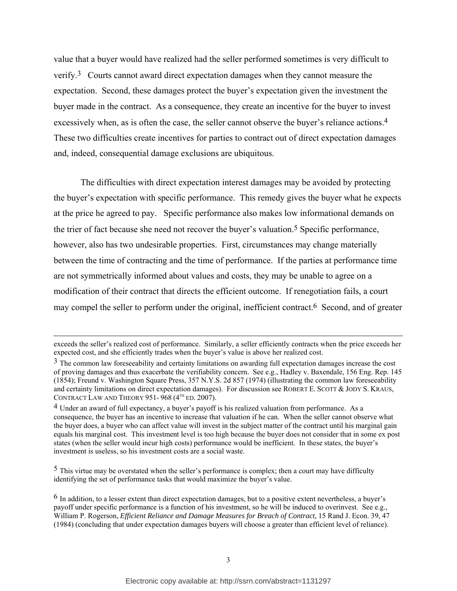value that a buyer would have realized had the seller performed sometimes is very difficult to verify.3 Courts cannot award direct expectation damages when they cannot measure the expectation. Second, these damages protect the buyer's expectation given the investment the buyer made in the contract. As a consequence, they create an incentive for the buyer to invest excessively when, as is often the case, the seller cannot observe the buyer's reliance actions.<sup>4</sup> These two difficulties create incentives for parties to contract out of direct expectation damages and, indeed, consequential damage exclusions are ubiquitous.

 The difficulties with direct expectation interest damages may be avoided by protecting the buyer's expectation with specific performance. This remedy gives the buyer what he expects at the price he agreed to pay. Specific performance also makes low informational demands on the trier of fact because she need not recover the buyer's valuation.<sup>5</sup> Specific performance, however, also has two undesirable properties. First, circumstances may change materially between the time of contracting and the time of performance. If the parties at performance time are not symmetrically informed about values and costs, they may be unable to agree on a modification of their contract that directs the efficient outcome. If renegotiation fails, a court may compel the seller to perform under the original, inefficient contract.6 Second, and of greater

 $\overline{\phantom{a}}$ 

<sup>5</sup> This virtue may be overstated when the seller's performance is complex; then a court may have difficulty identifying the set of performance tasks that would maximize the buyer's value.

exceeds the seller's realized cost of performance. Similarly, a seller efficiently contracts when the price exceeds her expected cost, and she efficiently trades when the buyer's value is above her realized cost.

<sup>&</sup>lt;sup>3</sup> The common law foreseeability and certainty limitations on awarding full expectation damages increase the cost of proving damages and thus exacerbate the verifiability concern. See e.g., Hadley v. Baxendale, 156 Eng. Rep. 145 (1854); Freund v. Washington Square Press, 357 N.Y.S. 2d 857 (1974) (illustrating the common law foreseeability and certainty limitations on direct expectation damages). For discussion see ROBERT E. SCOTT & JODY S. KRAUS, CONTRACT LAW AND THEORY 951-968  $(4^{TH}$  ED. 2007).

<sup>4</sup> Under an award of full expectancy, a buyer's payoff is his realized valuation from performance. As a consequence, the buyer has an incentive to increase that valuation if he can. When the seller cannot observe what the buyer does, a buyer who can affect value will invest in the subject matter of the contract until his marginal gain equals his marginal cost. This investment level is too high because the buyer does not consider that in some ex post states (when the seller would incur high costs) performance would be inefficient. In these states, the buyer's investment is useless, so his investment costs are a social waste.

<sup>6</sup> In addition, to a lesser extent than direct expectation damages, but to a positive extent nevertheless, a buyer's payoff under specific performance is a function of his investment, so he will be induced to overinvest. See e.g., William P. Rogerson, *Efficient Reliance and Damage Measures for Breach of Contract,* 15 Rand J. Econ. 39, 47 (1984) (concluding that under expectation damages buyers will choose a greater than efficient level of reliance).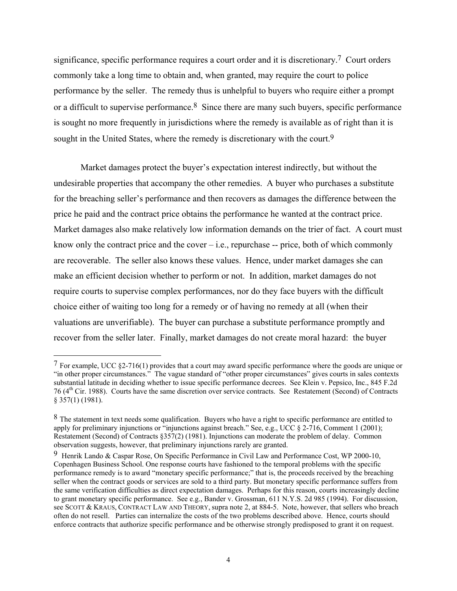significance, specific performance requires a court order and it is discretionary.7 Court orders commonly take a long time to obtain and, when granted, may require the court to police performance by the seller. The remedy thus is unhelpful to buyers who require either a prompt or a difficult to supervise performance.<sup>8</sup> Since there are many such buyers, specific performance is sought no more frequently in jurisdictions where the remedy is available as of right than it is sought in the United States, where the remedy is discretionary with the court.<sup>9</sup>

 Market damages protect the buyer's expectation interest indirectly, but without the undesirable properties that accompany the other remedies. A buyer who purchases a substitute for the breaching seller's performance and then recovers as damages the difference between the price he paid and the contract price obtains the performance he wanted at the contract price. Market damages also make relatively low information demands on the trier of fact. A court must know only the contract price and the cover  $-$  i.e., repurchase  $-$  price, both of which commonly are recoverable. The seller also knows these values. Hence, under market damages she can make an efficient decision whether to perform or not. In addition, market damages do not require courts to supervise complex performances, nor do they face buyers with the difficult choice either of waiting too long for a remedy or of having no remedy at all (when their valuations are unverifiable). The buyer can purchase a substitute performance promptly and recover from the seller later. Finally, market damages do not create moral hazard: the buyer

 $7$  For example, UCC  $\S2-716(1)$  provides that a court may award specific performance where the goods are unique or "in other proper circumstances." The vague standard of "other proper circumstances" gives courts in sales contexts substantial latitude in deciding whether to issue specific performance decrees. See Klein v. Pepsico, Inc., 845 F.2d 76 (4th Cir. 1988). Courts have the same discretion over service contracts. See Restatement (Second) of Contracts § 357(1) (1981).

<sup>&</sup>lt;sup>8</sup> The statement in text needs some qualification. Buyers who have a right to specific performance are entitled to apply for preliminary injunctions or "injunctions against breach." See, e.g., UCC  $\S$  2-716, Comment 1 (2001); Restatement (Second) of Contracts §357(2) (1981). Injunctions can moderate the problem of delay. Common observation suggests, however, that preliminary injunctions rarely are granted.

<sup>9</sup> Henrik Lando & Caspar Rose, On Specific Performance in Civil Law and Performance Cost, WP 2000-10, Copenhagen Business School. One response courts have fashioned to the temporal problems with the specific performance remedy is to award "monetary specific performance;" that is, the proceeds received by the breaching seller when the contract goods or services are sold to a third party. But monetary specific performance suffers from the same verification difficulties as direct expectation damages. Perhaps for this reason, courts increasingly decline to grant monetary specific performance. See e.g., Bander v. Grossman, 611 N.Y.S. 2d 985 (1994). For discussion, see SCOTT & KRAUS, CONTRACT LAW AND THEORY, supra note 2, at 884-5. Note, however, that sellers who breach often do not resell. Parties can internalize the costs of the two problems described above. Hence, courts should enforce contracts that authorize specific performance and be otherwise strongly predisposed to grant it on request.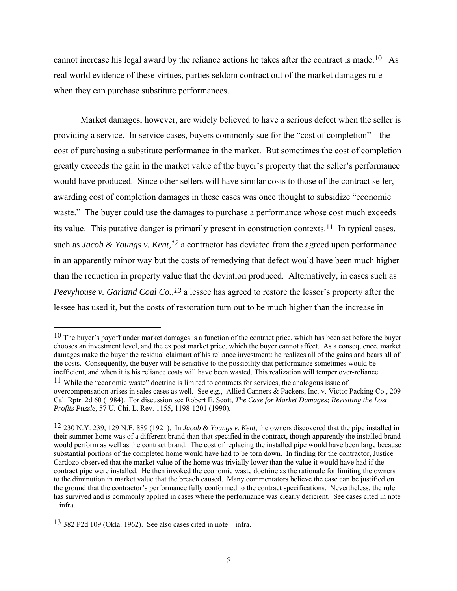cannot increase his legal award by the reliance actions he takes after the contract is made.<sup>10</sup> As real world evidence of these virtues, parties seldom contract out of the market damages rule when they can purchase substitute performances.

 Market damages, however, are widely believed to have a serious defect when the seller is providing a service. In service cases, buyers commonly sue for the "cost of completion"-- the cost of purchasing a substitute performance in the market. But sometimes the cost of completion greatly exceeds the gain in the market value of the buyer's property that the seller's performance would have produced. Since other sellers will have similar costs to those of the contract seller, awarding cost of completion damages in these cases was once thought to subsidize "economic waste." The buyer could use the damages to purchase a performance whose cost much exceeds its value. This putative danger is primarily present in construction contexts.11 In typical cases, such as *Jacob & Youngs v. Kent*,<sup>12</sup> a contractor has deviated from the agreed upon performance in an apparently minor way but the costs of remedying that defect would have been much higher than the reduction in property value that the deviation produced. Alternatively, in cases such as *Peevyhouse v. Garland Coal Co.,*<sup>13</sup> a lessee has agreed to restore the lessor's property after the lessee has used it, but the costs of restoration turn out to be much higher than the increase in

 $10$  The buyer's payoff under market damages is a function of the contract price, which has been set before the buyer chooses an investment level, and the ex post market price, which the buyer cannot affect. As a consequence, market damages make the buyer the residual claimant of his reliance investment: he realizes all of the gains and bears all of the costs. Consequently, the buyer will be sensitive to the possibility that performance sometimes would be inefficient, and when it is his reliance costs will have been wasted. This realization will temper over-reliance.

<sup>11</sup> While the "economic waste" doctrine is limited to contracts for services, the analogous issue of overcompensation arises in sales cases as well. See e.g., Allied Canners & Packers, Inc. v. Victor Packing Co., 209 Cal. Rptr. 2d 60 (1984). For discussion see Robert E. Scott, *The Case for Market Damages; Revisiting the Lost Profits Puzzle,* 57 U. Chi. L. Rev. 1155, 1198-1201 (1990).

<sup>12</sup> 230 N.Y. 239, 129 N.E. 889 (1921). In *Jacob & Youngs v. Kent,* the owners discovered that the pipe installed in their summer home was of a different brand than that specified in the contract, though apparently the installed brand would perform as well as the contract brand. The cost of replacing the installed pipe would have been large because substantial portions of the completed home would have had to be torn down. In finding for the contractor, Justice Cardozo observed that the market value of the home was trivially lower than the value it would have had if the contract pipe were installed. He then invoked the economic waste doctrine as the rationale for limiting the owners to the diminution in market value that the breach caused. Many commentators believe the case can be justified on the ground that the contractor's performance fully conformed to the contract specifications. Nevertheless, the rule has survived and is commonly applied in cases where the performance was clearly deficient. See cases cited in note – infra.

<sup>13</sup> 382 P2d 109 (Okla. 1962). See also cases cited in note – infra.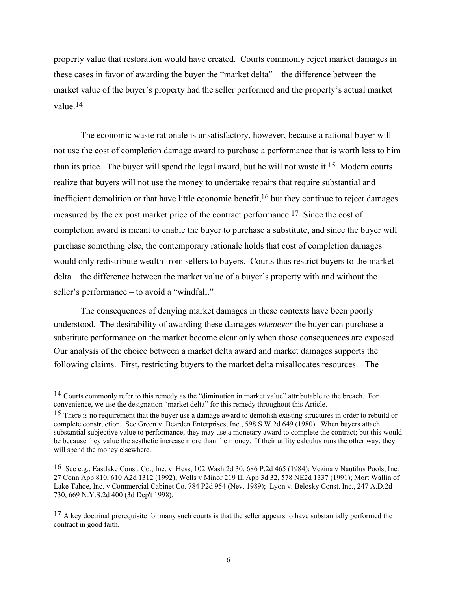property value that restoration would have created. Courts commonly reject market damages in these cases in favor of awarding the buyer the "market delta" – the difference between the market value of the buyer's property had the seller performed and the property's actual market value.14

 The economic waste rationale is unsatisfactory, however, because a rational buyer will not use the cost of completion damage award to purchase a performance that is worth less to him than its price. The buyer will spend the legal award, but he will not waste it.15 Modern courts realize that buyers will not use the money to undertake repairs that require substantial and inefficient demolition or that have little economic benefit,16 but they continue to reject damages measured by the ex post market price of the contract performance.17 Since the cost of completion award is meant to enable the buyer to purchase a substitute, and since the buyer will purchase something else, the contemporary rationale holds that cost of completion damages would only redistribute wealth from sellers to buyers. Courts thus restrict buyers to the market delta – the difference between the market value of a buyer's property with and without the seller's performance – to avoid a "windfall."

 The consequences of denying market damages in these contexts have been poorly understood. The desirability of awarding these damages *whenever* the buyer can purchase a substitute performance on the market become clear only when those consequences are exposed. Our analysis of the choice between a market delta award and market damages supports the following claims. First, restricting buyers to the market delta misallocates resources. The

<sup>14</sup> Courts commonly refer to this remedy as the "diminution in market value" attributable to the breach. For convenience, we use the designation "market delta" for this remedy throughout this Article.

<sup>&</sup>lt;sup>15</sup> There is no requirement that the buyer use a damage award to demolish existing structures in order to rebuild or complete construction. See Green v. Bearden Enterprises, Inc., 598 S.W.2d 649 (1980). When buyers attach substantial subjective value to performance, they may use a monetary award to complete the contract; but this would be because they value the aesthetic increase more than the money. If their utility calculus runs the other way, they will spend the money elsewhere.

<sup>16</sup> See e.g., Eastlake Const. Co., Inc. v. Hess, 102 Wash.2d 30, 686 P.2d 465 (1984); Vezina v Nautilus Pools, Inc. 27 Conn App 810, 610 A2d 1312 (1992); Wells v Minor 219 Ill App 3d 32, 578 NE2d 1337 (1991); Mort Wallin of Lake Tahoe, Inc. v Commercial Cabinet Co. 784 P2d 954 (Nev. 1989); Lyon v. Belosky Const. Inc., 247 A.D.2d 730, 669 N.Y.S.2d 400 (3d Dep't 1998).

<sup>&</sup>lt;sup>17</sup> A key doctrinal prerequisite for many such courts is that the seller appears to have substantially performed the contract in good faith.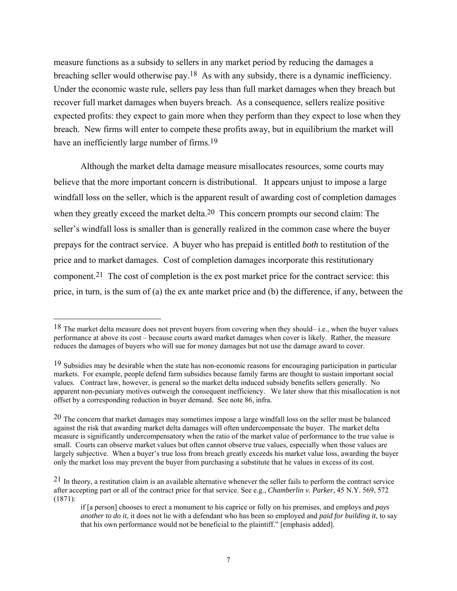measure functions as a subsidy to sellers in any market period by reducing the damages a breaching seller would otherwise pay.18 As with any subsidy, there is a dynamic inefficiency. Under the economic waste rule, sellers pay less than full market damages when they breach but recover full market damages when buyers breach. As a consequence, sellers realize positive expected profits: they expect to gain more when they perform than they expect to lose when they breach. New firms will enter to compete these profits away, but in equilibrium the market will have an inefficiently large number of firms.<sup>19</sup>

 Although the market delta damage measure misallocates resources, some courts may believe that the more important concern is distributional. It appears unjust to impose a large windfall loss on the seller, which is the apparent result of awarding cost of completion damages when they greatly exceed the market delta.<sup>20</sup> This concern prompts our second claim: The seller's windfall loss is smaller than is generally realized in the common case where the buyer prepays for the contract service. A buyer who has prepaid is entitled *both* to restitution of the price and to market damages. Cost of completion damages incorporate this restitutionary component.21 The cost of completion is the ex post market price for the contract service: this price, in turn, is the sum of (a) the ex ante market price and (b) the difference, if any, between the

<sup>&</sup>lt;sup>18</sup> The market delta measure does not prevent buyers from covering when they should– i.e., when the buyer values performance at above its cost – because courts award market damages when cover is likely. Rather, the measure reduces the damages of buyers who will sue for money damages but not use the damage award to cover.

<sup>&</sup>lt;sup>19</sup> Subsidies may be desirable when the state has non-economic reasons for encouraging participation in particular markets. For example, people defend farm subsidies because family farms are thought to sustain important social values. Contract law, however, is general so the market delta induced subsidy benefits sellers generally. No apparent non-pecuniary motives outweigh the consequent inefficiency. We later show that this misallocation is not offset by a corresponding reduction in buyer demand. See note 86, infra.

<sup>&</sup>lt;sup>20</sup> The concern that market damages may sometimes impose a large windfall loss on the seller must be balanced against the risk that awarding market delta damages will often undercompensate the buyer. The market delta measure is significantly undercompensatory when the ratio of the market value of performance to the true value is small. Courts can observe market values but often cannot observe true values, especially when those values are largely subjective. When a buyer's true loss from breach greatly exceeds his market value loss, awarding the buyer only the market loss may prevent the buyer from purchasing a substitute that he values in excess of its cost.

 $21$  In theory, a restitution claim is an available alternative whenever the seller fails to perform the contract service after accepting part or all of the contract price for that service. See e.g., *Chamberlin v. Parker,* 45 N.Y. 569, 572 (1871):

if [a person] chooses to erect a monument to his caprice or folly on his premises, and employs and *pays another to do it*, it does not lie with a defendant who has been so employed and *paid for building it*, to say that his own performance would not be beneficial to the plaintiff." [emphasis added].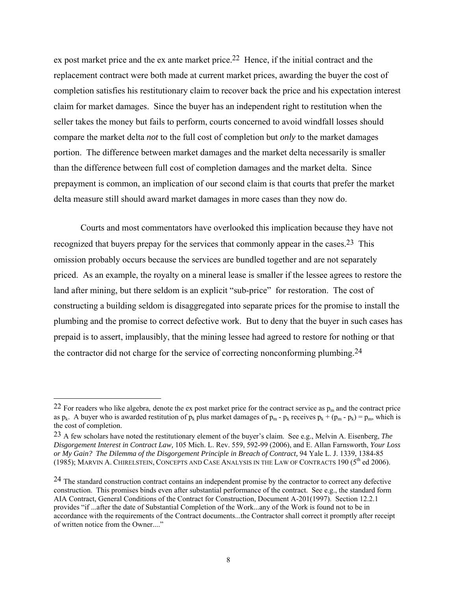ex post market price and the ex ante market price.22 Hence, if the initial contract and the replacement contract were both made at current market prices, awarding the buyer the cost of completion satisfies his restitutionary claim to recover back the price and his expectation interest claim for market damages. Since the buyer has an independent right to restitution when the seller takes the money but fails to perform, courts concerned to avoid windfall losses should compare the market delta *not* to the full cost of completion but *only* to the market damages portion. The difference between market damages and the market delta necessarily is smaller than the difference between full cost of completion damages and the market delta. Since prepayment is common, an implication of our second claim is that courts that prefer the market delta measure still should award market damages in more cases than they now do.

 Courts and most commentators have overlooked this implication because they have not recognized that buyers prepay for the services that commonly appear in the cases.<sup>23</sup> This omission probably occurs because the services are bundled together and are not separately priced. As an example, the royalty on a mineral lease is smaller if the lessee agrees to restore the land after mining, but there seldom is an explicit "sub-price" for restoration. The cost of constructing a building seldom is disaggregated into separate prices for the promise to install the plumbing and the promise to correct defective work. But to deny that the buyer in such cases has prepaid is to assert, implausibly, that the mining lessee had agreed to restore for nothing or that the contractor did not charge for the service of correcting nonconforming plumbing.24

<sup>&</sup>lt;sup>22</sup> For readers who like algebra, denote the ex post market price for the contract service as  $p_m$  and the contract price as  $p_k$ . A buyer who is awarded restitution of  $p_k$  plus market damages of  $p_m$  -  $p_k$  receives  $p_k + (p_m - p_k) = p_m$ , which is the cost of completion.

<sup>23</sup> A few scholars have noted the restitutionary element of the buyer's claim. See e.g., Melvin A. Eisenberg, *The Disgorgement Interest in Contract Law,* 105 Mich. L. Rev. 559, 592-99 (2006), and E. Allan Farnsworth, *Your Loss or My Gain? The Dilemma of the Disgorgement Principle in Breach of Contract,* 94 Yale L. J. 1339, 1384-85 (1985); MARVIN A. CHIRELSTEIN, CONCEPTS AND CASE ANALYSIS IN THE LAW OF CONTRACTS 190 ( $5<sup>th</sup>$  ed 2006).

<sup>&</sup>lt;sup>24</sup> The standard construction contract contains an independent promise by the contractor to correct any defective construction. This promises binds even after substantial performance of the contract. See e.g., the standard form AIA Contract, General Conditions of the Contract for Construction, Document A-201(1997). Section 12.2.1 provides "if ...after the date of Substantial Completion of the Work...any of the Work is found not to be in accordance with the requirements of the Contract documents...the Contractor shall correct it promptly after receipt of written notice from the Owner...."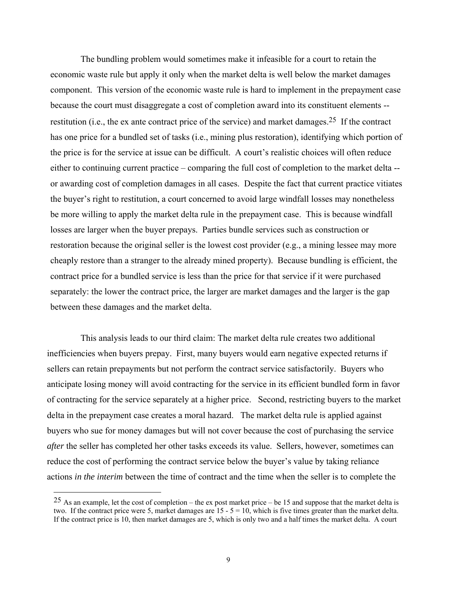The bundling problem would sometimes make it infeasible for a court to retain the economic waste rule but apply it only when the market delta is well below the market damages component. This version of the economic waste rule is hard to implement in the prepayment case because the court must disaggregate a cost of completion award into its constituent elements - restitution (i.e., the ex ante contract price of the service) and market damages.<sup>25</sup> If the contract has one price for a bundled set of tasks (i.e., mining plus restoration), identifying which portion of the price is for the service at issue can be difficult. A court's realistic choices will often reduce either to continuing current practice – comparing the full cost of completion to the market delta - or awarding cost of completion damages in all cases. Despite the fact that current practice vitiates the buyer's right to restitution, a court concerned to avoid large windfall losses may nonetheless be more willing to apply the market delta rule in the prepayment case. This is because windfall losses are larger when the buyer prepays. Parties bundle services such as construction or restoration because the original seller is the lowest cost provider (e.g., a mining lessee may more cheaply restore than a stranger to the already mined property). Because bundling is efficient, the contract price for a bundled service is less than the price for that service if it were purchased separately: the lower the contract price, the larger are market damages and the larger is the gap between these damages and the market delta.

 This analysis leads to our third claim: The market delta rule creates two additional inefficiencies when buyers prepay. First, many buyers would earn negative expected returns if sellers can retain prepayments but not perform the contract service satisfactorily. Buyers who anticipate losing money will avoid contracting for the service in its efficient bundled form in favor of contracting for the service separately at a higher price. Second, restricting buyers to the market delta in the prepayment case creates a moral hazard. The market delta rule is applied against buyers who sue for money damages but will not cover because the cost of purchasing the service *after* the seller has completed her other tasks exceeds its value. Sellers, however, sometimes can reduce the cost of performing the contract service below the buyer's value by taking reliance actions *in the interim* between the time of contract and the time when the seller is to complete the

 $25$  As an example, let the cost of completion – the ex post market price – be 15 and suppose that the market delta is two. If the contract price were 5, market damages are  $15 - 5 = 10$ , which is five times greater than the market delta. If the contract price is 10, then market damages are 5, which is only two and a half times the market delta. A court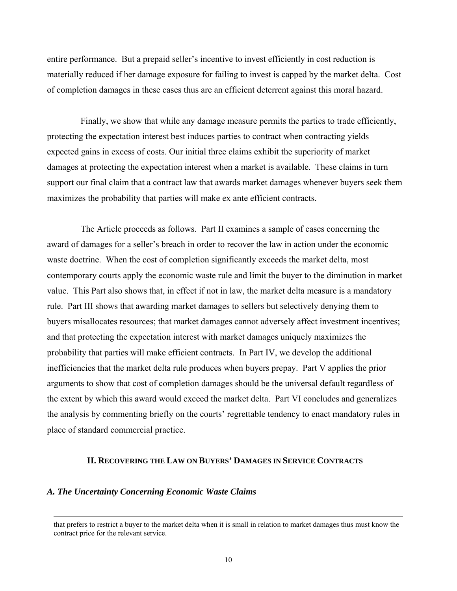entire performance. But a prepaid seller's incentive to invest efficiently in cost reduction is materially reduced if her damage exposure for failing to invest is capped by the market delta. Cost of completion damages in these cases thus are an efficient deterrent against this moral hazard.

 Finally, we show that while any damage measure permits the parties to trade efficiently, protecting the expectation interest best induces parties to contract when contracting yields expected gains in excess of costs. Our initial three claims exhibit the superiority of market damages at protecting the expectation interest when a market is available. These claims in turn support our final claim that a contract law that awards market damages whenever buyers seek them maximizes the probability that parties will make ex ante efficient contracts.

 The Article proceeds as follows. Part II examines a sample of cases concerning the award of damages for a seller's breach in order to recover the law in action under the economic waste doctrine. When the cost of completion significantly exceeds the market delta, most contemporary courts apply the economic waste rule and limit the buyer to the diminution in market value. This Part also shows that, in effect if not in law, the market delta measure is a mandatory rule. Part III shows that awarding market damages to sellers but selectively denying them to buyers misallocates resources; that market damages cannot adversely affect investment incentives; and that protecting the expectation interest with market damages uniquely maximizes the probability that parties will make efficient contracts. In Part IV, we develop the additional inefficiencies that the market delta rule produces when buyers prepay. Part V applies the prior arguments to show that cost of completion damages should be the universal default regardless of the extent by which this award would exceed the market delta. Part VI concludes and generalizes the analysis by commenting briefly on the courts' regrettable tendency to enact mandatory rules in place of standard commercial practice.

# **II. RECOVERING THE LAW ON BUYERS' DAMAGES IN SERVICE CONTRACTS**

#### *A. The Uncertainty Concerning Economic Waste Claims*

that prefers to restrict a buyer to the market delta when it is small in relation to market damages thus must know the contract price for the relevant service.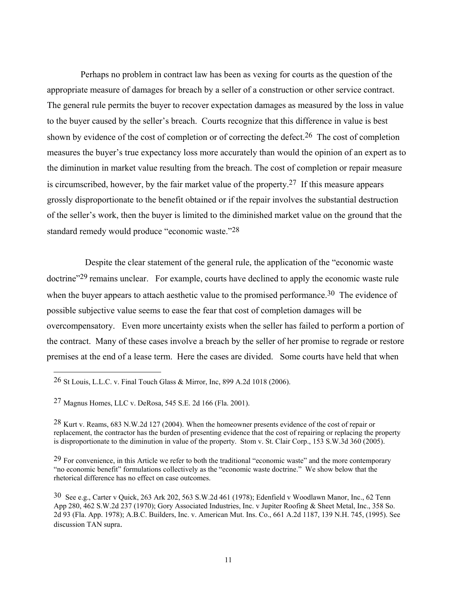Perhaps no problem in contract law has been as vexing for courts as the question of the appropriate measure of damages for breach by a seller of a construction or other service contract. The general rule permits the buyer to recover expectation damages as measured by the loss in value to the buyer caused by the seller's breach. Courts recognize that this difference in value is best shown by evidence of the cost of completion or of correcting the defect.<sup>26</sup> The cost of completion measures the buyer's true expectancy loss more accurately than would the opinion of an expert as to the diminution in market value resulting from the breach. The cost of completion or repair measure is circumscribed, however, by the fair market value of the property.<sup>27</sup> If this measure appears grossly disproportionate to the benefit obtained or if the repair involves the substantial destruction of the seller's work, then the buyer is limited to the diminished market value on the ground that the standard remedy would produce "economic waste."28

 Despite the clear statement of the general rule, the application of the "economic waste doctrine"<sup>29</sup> remains unclear. For example, courts have declined to apply the economic waste rule when the buyer appears to attach aesthetic value to the promised performance.<sup>30</sup> The evidence of possible subjective value seems to ease the fear that cost of completion damages will be overcompensatory. Even more uncertainty exists when the seller has failed to perform a portion of the contract. Many of these cases involve a breach by the seller of her promise to regrade or restore premises at the end of a lease term. Here the cases are divided. Some courts have held that when

<sup>26</sup> St Louis, L.L.C. v. Final Touch Glass & Mirror, Inc, 899 A.2d 1018 (2006).

<sup>27</sup> Magnus Homes, LLC v. DeRosa, 545 S.E. 2d 166 (Fla. 2001).

<sup>28</sup> Kurt v. Reams, 683 N.W.2d 127 (2004). When the homeowner presents evidence of the cost of repair or replacement, the contractor has the burden of presenting evidence that the cost of repairing or replacing the property is disproportionate to the diminution in value of the property. Stom v. St. Clair Corp., 153 S.W.3d 360 (2005).

<sup>29</sup> For convenience, in this Article we refer to both the traditional "economic waste" and the more contemporary "no economic benefit" formulations collectively as the "economic waste doctrine." We show below that the rhetorical difference has no effect on case outcomes.

<sup>30</sup> See e.g., Carter v Quick, 263 Ark 202, 563 S.W.2d 461 (1978); Edenfield v Woodlawn Manor, Inc., 62 Tenn App 280, 462 S.W.2d 237 (1970); Gory Associated Industries, Inc. v Jupiter Roofing & Sheet Metal, Inc., 358 So. 2d 93 (Fla. App. 1978); A.B.C. Builders, Inc. v. American Mut. Ins. Co., 661 A.2d 1187, 139 N.H. 745, (1995). See discussion TAN supra.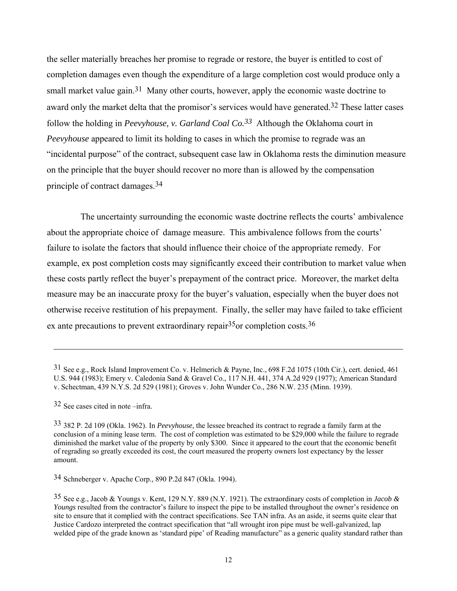the seller materially breaches her promise to regrade or restore, the buyer is entitled to cost of completion damages even though the expenditure of a large completion cost would produce only a small market value gain.<sup>31</sup> Many other courts, however, apply the economic waste doctrine to award only the market delta that the promisor's services would have generated.<sup>32</sup> These latter cases follow the holding in *Peevyhouse, v. Garland Coal Co.33* Although the Oklahoma court in *Peevyhouse* appeared to limit its holding to cases in which the promise to regrade was an "incidental purpose" of the contract, subsequent case law in Oklahoma rests the diminution measure on the principle that the buyer should recover no more than is allowed by the compensation principle of contract damages.34

 The uncertainty surrounding the economic waste doctrine reflects the courts' ambivalence about the appropriate choice of damage measure. This ambivalence follows from the courts' failure to isolate the factors that should influence their choice of the appropriate remedy. For example, ex post completion costs may significantly exceed their contribution to market value when these costs partly reflect the buyer's prepayment of the contract price. Moreover, the market delta measure may be an inaccurate proxy for the buyer's valuation, especially when the buyer does not otherwise receive restitution of his prepayment. Finally, the seller may have failed to take efficient ex ante precautions to prevent extraordinary repair  $35$  or completion costs.  $36$ 

32 See cases cited in note –infra.

 $\overline{\phantom{a}}$ 

34 Schneberger v. Apache Corp., 890 P.2d 847 (Okla. 1994).

<sup>31</sup> See e.g., Rock Island Improvement Co. v. Helmerich & Payne, Inc., 698 F.2d 1075 (10th Cir.), cert. denied, 461 U.S. 944 (1983); Emery v. Caledonia Sand & Gravel Co., 117 N.H. 441, 374 A.2d 929 (1977); American Standard v. Schectman, 439 N.Y.S. 2d 529 (1981); Groves v. John Wunder Co., 286 N.W. 235 (Minn. 1939).

<sup>33</sup> 382 P. 2d 109 (Okla. 1962). In *Peevyhouse,* the lessee breached its contract to regrade a family farm at the conclusion of a mining lease term. The cost of completion was estimated to be \$29,000 while the failure to regrade diminished the market value of the property by only \$300. Since it appeared to the court that the economic benefit of regrading so greatly exceeded its cost, the court measured the property owners lost expectancy by the lesser amount.

<sup>35</sup> See e.g., Jacob & Youngs v. Kent, 129 N.Y. 889 (N.Y. 1921). The extraordinary costs of completion in *Jacob & Youngs* resulted from the contractor's failure to inspect the pipe to be installed throughout the owner's residence on site to ensure that it complied with the contract specifications. See TAN infra. As an aside, it seems quite clear that Justice Cardozo interpreted the contract specification that "all wrought iron pipe must be well-galvanized, lap welded pipe of the grade known as 'standard pipe' of Reading manufacture" as a generic quality standard rather than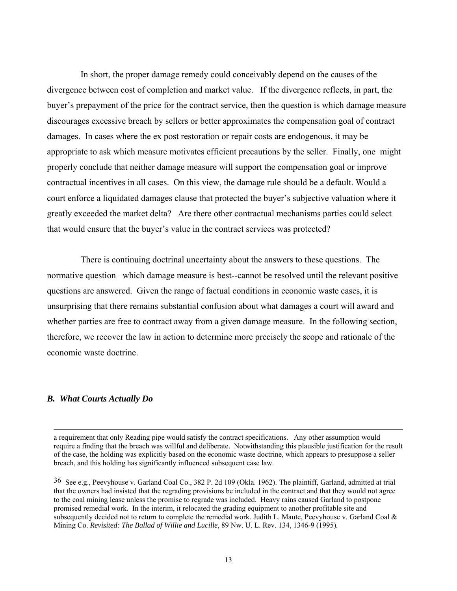In short, the proper damage remedy could conceivably depend on the causes of the divergence between cost of completion and market value. If the divergence reflects, in part, the buyer's prepayment of the price for the contract service, then the question is which damage measure discourages excessive breach by sellers or better approximates the compensation goal of contract damages. In cases where the ex post restoration or repair costs are endogenous, it may be appropriate to ask which measure motivates efficient precautions by the seller. Finally, one might properly conclude that neither damage measure will support the compensation goal or improve contractual incentives in all cases. On this view, the damage rule should be a default. Would a court enforce a liquidated damages clause that protected the buyer's subjective valuation where it greatly exceeded the market delta? Are there other contractual mechanisms parties could select that would ensure that the buyer's value in the contract services was protected?

 There is continuing doctrinal uncertainty about the answers to these questions. The normative question –which damage measure is best--cannot be resolved until the relevant positive questions are answered. Given the range of factual conditions in economic waste cases, it is unsurprising that there remains substantial confusion about what damages a court will award and whether parties are free to contract away from a given damage measure. In the following section, therefore, we recover the law in action to determine more precisely the scope and rationale of the economic waste doctrine.

# *B. What Courts Actually Do*

a requirement that only Reading pipe would satisfy the contract specifications. Any other assumption would require a finding that the breach was willful and deliberate. Notwithstanding this plausible justification for the result of the case, the holding was explicitly based on the economic waste doctrine, which appears to presuppose a seller breach, and this holding has significantly influenced subsequent case law.

<sup>36</sup> See e.g., Peevyhouse v. Garland Coal Co., 382 P. 2d 109 (Okla. 1962). The plaintiff, Garland, admitted at trial that the owners had insisted that the regrading provisions be included in the contract and that they would not agree to the coal mining lease unless the promise to regrade was included. Heavy rains caused Garland to postpone promised remedial work. In the interim, it relocated the grading equipment to another profitable site and subsequently decided not to return to complete the remedial work. Judith L. Maute, Peevyhouse v. Garland Coal & Mining Co. *Revisited: The Ballad of Willie and Lucille,* 89 Nw. U. L. Rev. 134, 1346-9 (1995)*.*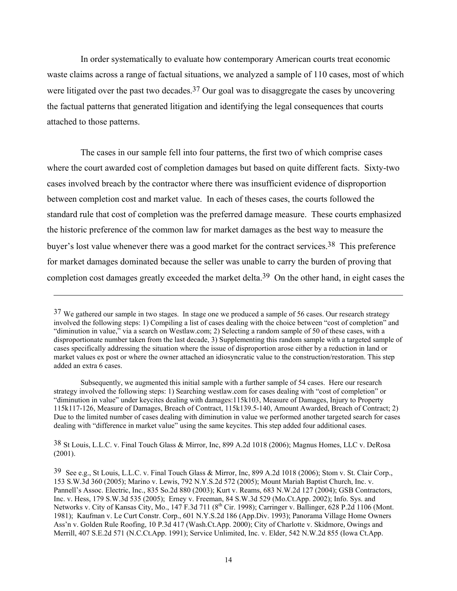In order systematically to evaluate how contemporary American courts treat economic waste claims across a range of factual situations, we analyzed a sample of 110 cases, most of which were litigated over the past two decades.<sup>37</sup> Our goal was to disaggregate the cases by uncovering the factual patterns that generated litigation and identifying the legal consequences that courts attached to those patterns.

 The cases in our sample fell into four patterns, the first two of which comprise cases where the court awarded cost of completion damages but based on quite different facts. Sixty-two cases involved breach by the contractor where there was insufficient evidence of disproportion between completion cost and market value. In each of theses cases, the courts followed the standard rule that cost of completion was the preferred damage measure. These courts emphasized the historic preference of the common law for market damages as the best way to measure the buyer's lost value whenever there was a good market for the contract services.<sup>38</sup> This preference for market damages dominated because the seller was unable to carry the burden of proving that completion cost damages greatly exceeded the market delta.<sup>39</sup> On the other hand, in eight cases the

 $\overline{a}$ 

38 St Louis, L.L.C. v. Final Touch Glass & Mirror, Inc, 899 A.2d 1018 (2006); Magnus Homes, LLC v. DeRosa (2001).

<sup>&</sup>lt;sup>37</sup> We gathered our sample in two stages. In stage one we produced a sample of 56 cases. Our research strategy involved the following steps: 1) Compiling a list of cases dealing with the choice between "cost of completion" and "diminution in value," via a search on Westlaw.com; 2) Selecting a random sample of 50 of these cases, with a disproportionate number taken from the last decade, 3) Supplementing this random sample with a targeted sample of cases specifically addressing the situation where the issue of disproportion arose either by a reduction in land or market values ex post or where the owner attached an idiosyncratic value to the construction/restoration. This step added an extra 6 cases.

Subsequently, we augmented this initial sample with a further sample of 54 cases. Here our research strategy involved the following steps: 1) Searching westlaw.com for cases dealing with "cost of completion" or "diminution in value" under keycites dealing with damages:115k103, Measure of Damages, Injury to Property 115k117-126, Measure of Damages, Breach of Contract, 115k139.5-140, Amount Awarded, Breach of Contract; 2) Due to the limited number of cases dealing with diminution in value we performed another targeted search for cases dealing with "difference in market value" using the same keycites. This step added four additional cases.

<sup>39</sup> See e.g., St Louis, L.L.C. v. Final Touch Glass & Mirror, Inc, 899 A.2d 1018 (2006); Stom v. St. Clair Corp., 153 S.W.3d 360 (2005); Marino v. Lewis, 792 N.Y.S.2d 572 (2005); Mount Mariah Baptist Church, Inc. v. Pannell's Assoc. Electric, Inc., 835 So.2d 880 (2003); Kurt v. Reams, 683 N.W.2d 127 (2004); GSB Contractors, Inc. v. Hess, 179 S.W.3d 535 (2005); Erney v. Freeman, 84 S.W.3d 529 (Mo.Ct.App. 2002); Info. Sys. and Networks v. City of Kansas City, Mo., 147 F.3d 711 (8<sup>th</sup> Cir. 1998); Carringer v. Ballinger, 628 P.2d 1106 (Mont. 1981); Kaufman v. Le Curt Constr. Corp., 601 N.Y.S.2d 186 (App.Div. 1993); Panorama Village Home Owners Ass'n v. Golden Rule Roofing, 10 P.3d 417 (Wash.Ct.App. 2000); City of Charlotte v. Skidmore, Owings and Merrill, 407 S.E.2d 571 (N.C.Ct.App. 1991); Service Unlimited, Inc. v. Elder, 542 N.W.2d 855 (Iowa Ct.App.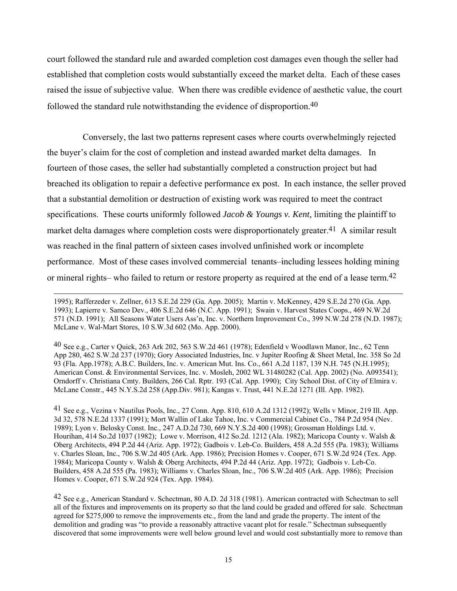court followed the standard rule and awarded completion cost damages even though the seller had established that completion costs would substantially exceed the market delta. Each of these cases raised the issue of subjective value. When there was credible evidence of aesthetic value, the court followed the standard rule notwithstanding the evidence of disproportion.40

 Conversely, the last two patterns represent cases where courts overwhelmingly rejected the buyer's claim for the cost of completion and instead awarded market delta damages. In fourteen of those cases, the seller had substantially completed a construction project but had breached its obligation to repair a defective performance ex post. In each instance, the seller proved that a substantial demolition or destruction of existing work was required to meet the contract specifications. These courts uniformly followed *Jacob & Youngs v. Kent,* limiting the plaintiff to market delta damages where completion costs were disproportionately greater.<sup>41</sup> A similar result was reached in the final pattern of sixteen cases involved unfinished work or incomplete performance. Most of these cases involved commercial tenants–including lessees holding mining or mineral rights– who failed to return or restore property as required at the end of a lease term.42

 $\overline{a}$ 

40 See e.g., Carter v Quick, 263 Ark 202, 563 S.W.2d 461 (1978); Edenfield v Woodlawn Manor, Inc., 62 Tenn App 280, 462 S.W.2d 237 (1970); Gory Associated Industries, Inc. v Jupiter Roofing & Sheet Metal, Inc. 358 So 2d 93 (Fla. App.1978); A.B.C. Builders, Inc. v. American Mut. Ins. Co., 661 A.2d 1187, 139 N.H. 745 (N.H.1995); American Const. & Environmental Services, Inc. v. Mosleh, 2002 WL 31480282 (Cal. App. 2002) (No. A093541); Orndorff v. Christiana Cmty. Builders, 266 Cal. Rptr. 193 (Cal. App. 1990); City School Dist. of City of Elmira v. McLane Constr., 445 N.Y.S.2d 258 (App.Div. 981); Kangas v. Trust, 441 N.E.2d 1271 (Ill. App. 1982).

41 See e.g., Vezina v Nautilus Pools, Inc., 27 Conn. App. 810, 610 A.2d 1312 (1992); Wells v Minor, 219 Ill. App. 3d 32, 578 N.E.2d 1337 (1991); Mort Wallin of Lake Tahoe, Inc. v Commercial Cabinet Co., 784 P.2d 954 (Nev. 1989); Lyon v. Belosky Const. Inc., 247 A.D.2d 730, 669 N.Y.S.2d 400 (1998); Grossman Holdings Ltd. v. Hourihan, 414 So.2d 1037 (1982); Lowe v. Morrison, 412 So.2d. 1212 (Ala. 1982); Maricopa County v. Walsh & Oberg Architects, 494 P.2d 44 (Ariz. App. 1972); Gadbois v. Leb-Co. Builders, 458 A.2d 555 (Pa. 1983); Williams v. Charles Sloan, Inc., 706 S.W.2d 405 (Ark. App. 1986); Precision Homes v. Cooper, 671 S.W.2d 924 (Tex. App. 1984); Maricopa County v. Walsh & Oberg Architects, 494 P.2d 44 (Ariz. App. 1972); Gadbois v. Leb-Co. Builders, 458 A.2d 555 (Pa. 1983); Williams v. Charles Sloan, Inc., 706 S.W.2d 405 (Ark. App. 1986); Precision Homes v. Cooper, 671 S.W.2d 924 (Tex. App. 1984).

42 See e.g., American Standard v. Schectman, 80 A.D. 2d 318 (1981). American contracted with Schectman to sell all of the fixtures and improvements on its property so that the land could be graded and offered for sale. Schectman agreed for \$275,000 to remove the improvements etc., from the land and grade the property. The intent of the demolition and grading was "to provide a reasonably attractive vacant plot for resale." Schectman subsequently discovered that some improvements were well below ground level and would cost substantially more to remove than

<sup>1995);</sup> Rafferzeder v. Zellner, 613 S.E.2d 229 (Ga. App. 2005); Martin v. McKenney, 429 S.E.2d 270 (Ga. App. 1993); Lapierre v. Samco Dev., 406 S.E.2d 646 (N.C. App. 1991); Swain v. Harvest States Coops., 469 N.W.2d 571 (N.D. 1991); All Seasons Water Users Ass'n, Inc. v. Northern Improvement Co., 399 N.W.2d 278 (N.D. 1987); McLane v. Wal-Mart Stores, 10 S.W.3d 602 (Mo. App. 2000).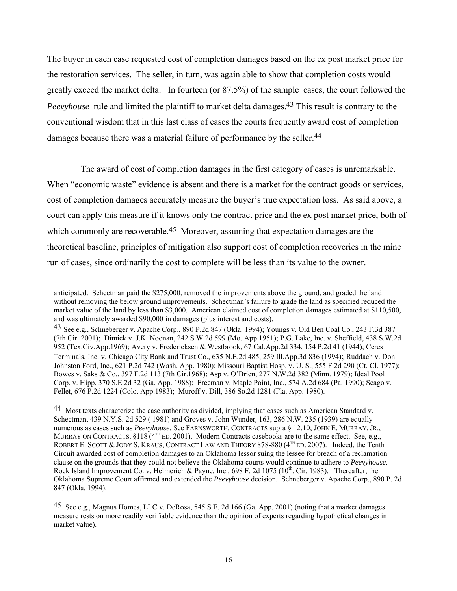The buyer in each case requested cost of completion damages based on the ex post market price for the restoration services. The seller, in turn, was again able to show that completion costs would greatly exceed the market delta. In fourteen (or 87.5%) of the sample cases, the court followed the *Peevyhouse* rule and limited the plaintiff to market delta damages.<sup>43</sup> This result is contrary to the conventional wisdom that in this last class of cases the courts frequently award cost of completion damages because there was a material failure of performance by the seller.<sup>44</sup>

 The award of cost of completion damages in the first category of cases is unremarkable. When "economic waste" evidence is absent and there is a market for the contract goods or services, cost of completion damages accurately measure the buyer's true expectation loss. As said above, a court can apply this measure if it knows only the contract price and the ex post market price, both of which commonly are recoverable.<sup>45</sup> Moreover, assuming that expectation damages are the theoretical baseline, principles of mitigation also support cost of completion recoveries in the mine run of cases, since ordinarily the cost to complete will be less than its value to the owner.

 $\overline{a}$ 

44 Most texts characterize the case authority as divided, implying that cases such as American Standard v. Schectman, 439 N.Y.S. 2d 529 ( 1981) and Groves v. John Wunder*,* 163, 286 N.W. 235 (1939) are equally numerous as cases such as *Peevyhouse*. See FARNSWORTH, CONTRACTS supra § 12.10; JOHN E. MURRAY, JR., MURRAY ON CONTRACTS,  $\S 118$  (4<sup>TH</sup> ED. 2001). Modern Contracts casebooks are to the same effect. See, e.g., ROBERT E. SCOTT & JODY S. KRAUS, CONTRACT LAW AND THEORY 878-880 (4<sup>TH</sup> ED. 2007). Indeed, the Tenth Circuit awarded cost of completion damages to an Oklahoma lessor suing the lessee for breach of a reclamation clause on the grounds that they could not believe the Oklahoma courts would continue to adhere to *Peevyhouse.*  Rock Island Improvement Co. v. Helmerich & Payne, Inc., 698 F. 2d 1075 (10<sup>th</sup>. Cir. 1983). Thereafter, the Oklahoma Supreme Court affirmed and extended the *Peevyhouse* decision. Schneberger v. Apache Corp., 890 P. 2d 847 (Okla. 1994).

anticipated. Schectman paid the \$275,000, removed the improvements above the ground, and graded the land without removing the below ground improvements. Schectman's failure to grade the land as specified reduced the market value of the land by less than \$3,000. American claimed cost of completion damages estimated at \$110,500, and was ultimately awarded \$90,000 in damages (plus interest and costs).

<sup>43</sup> See e.g., Schneberger v. Apache Corp., 890 P.2d 847 (Okla. 1994); Youngs v. Old Ben Coal Co., 243 F.3d 387 (7th Cir. 2001); Dimick v. J.K. Noonan, 242 S.W.2d 599 (Mo. App.1951); P.G. Lake, Inc. v. Sheffield, 438 S.W.2d 952 (Tex.Civ.App.1969); Avery v. Fredericksen & Westbrook, 67 Cal.App.2d 334, 154 P.2d 41 (1944); Ceres Terminals, Inc. v. Chicago City Bank and Trust Co., 635 N.E.2d 485, 259 Ill.App.3d 836 (1994); Ruddach v. Don Johnston Ford, Inc., 621 P.2d 742 (Wash. App. 1980); Missouri Baptist Hosp. v. U. S., 555 F.2d 290 (Ct. Cl. 1977); Bowes v. Saks & Co., 397 F.2d 113 (7th Cir.1968); Asp v. O'Brien, 277 N.W.2d 382 (Minn. 1979); Ideal Pool Corp. v. Hipp, 370 S.E.2d 32 (Ga. App. 1988); Freeman v. Maple Point, Inc., 574 A.2d 684 (Pa. 1990); Seago v. Fellet, 676 P.2d 1224 (Colo. App.1983); Muroff v. Dill, 386 So.2d 1281 (Fla. App. 1980).

<sup>45</sup> See e.g., Magnus Homes, LLC v. DeRosa, 545 S.E. 2d 166 (Ga. App. 2001) (noting that a market damages measure rests on more readily verifiable evidence than the opinion of experts regarding hypothetical changes in market value).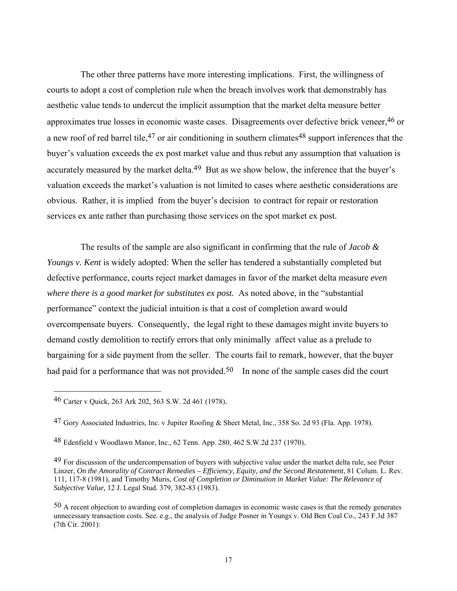The other three patterns have more interesting implications. First, the willingness of courts to adopt a cost of completion rule when the breach involves work that demonstrably has aesthetic value tends to undercut the implicit assumption that the market delta measure better approximates true losses in economic waste cases. Disagreements over defective brick veneer,46 or a new roof of red barrel tile,  $47$  or air conditioning in southern climates  $48$  support inferences that the buyer's valuation exceeds the ex post market value and thus rebut any assumption that valuation is accurately measured by the market delta.<sup>49</sup> But as we show below, the inference that the buyer's valuation exceeds the market's valuation is not limited to cases where aesthetic considerations are obvious. Rather, it is implied from the buyer's decision to contract for repair or restoration services ex ante rather than purchasing those services on the spot market ex post.

 The results of the sample are also significant in confirming that the rule of *Jacob & Youngs v. Kent* is widely adopted: When the seller has tendered a substantially completed but defective performance, courts reject market damages in favor of the market delta measure *even where there is a good market for substitutes ex post.* As noted above, in the "substantial performance" context the judicial intuition is that a cost of completion award would overcompensate buyers. Consequently, the legal right to these damages might invite buyers to demand costly demolition to rectify errors that only minimally affect value as a prelude to bargaining for a side payment from the seller. The courts fail to remark, however, that the buyer had paid for a performance that was not provided.<sup>50</sup> In none of the sample cases did the court

<sup>46</sup> Carter v Quick, 263 Ark 202, 563 S.W. 2d 461 (1978).

<sup>47</sup> Gory Associated Industries, Inc. v Jupiter Roofing & Sheet Metal, Inc., 358 So. 2d 93 (Fla. App. 1978).

<sup>48</sup> Edenfield v Woodlawn Manor, Inc., 62 Tenn. App. 280, 462 S.W.2d 237 (1970).

<sup>&</sup>lt;sup>49</sup> For discussion of the undercompensation of buyers with subjective value under the market delta rule, see Peter Linzer, *On the Amorality of Contract Remedies – Efficiency, Equity, and the Second Restatement,* 81 Colum. L. Rev. 111, 117-8 (1981), and Timothy Muris, *Cost of Completion or Diminution in Market Value: The Relevance of Subjective Value,* 12 J. Legal Stud. 379, 382-83 (1983).

<sup>50</sup> A recent objection to awarding cost of completion damages in economic waste cases is that the remedy generates unnecessary transaction costs. See. e.g., the analysis of Judge Posner in Youngs v. Old Ben Coal Co., 243 F.3d 387 (7th Cir. 2001):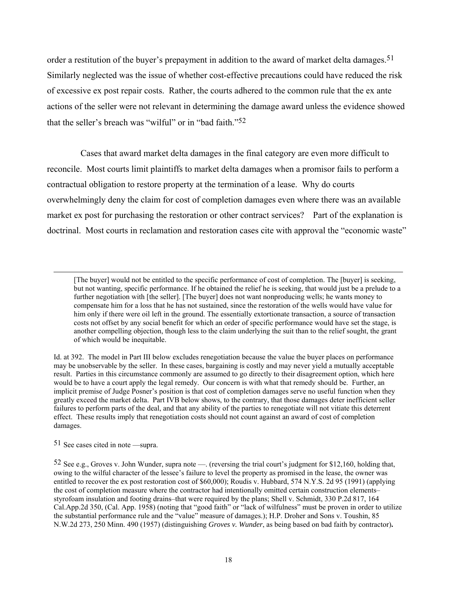order a restitution of the buyer's prepayment in addition to the award of market delta damages.<sup>51</sup> Similarly neglected was the issue of whether cost-effective precautions could have reduced the risk of excessive ex post repair costs. Rather, the courts adhered to the common rule that the ex ante actions of the seller were not relevant in determining the damage award unless the evidence showed that the seller's breach was "wilful" or in "bad faith."52

Cases that award market delta damages in the final category are even more difficult to reconcile. Most courts limit plaintiffs to market delta damages when a promisor fails to perform a contractual obligation to restore property at the termination of a lease. Why do courts overwhelmingly deny the claim for cost of completion damages even where there was an available market ex post for purchasing the restoration or other contract services? Part of the explanation is doctrinal. Most courts in reclamation and restoration cases cite with approval the "economic waste"

51 See cases cited in note —supra.

<sup>[</sup>The buyer] would not be entitled to the specific performance of cost of completion. The [buyer] is seeking, but not wanting, specific performance. If he obtained the relief he is seeking, that would just be a prelude to a further negotiation with [the seller]. [The buyer] does not want nonproducing wells; he wants money to compensate him for a loss that he has not sustained, since the restoration of the wells would have value for him only if there were oil left in the ground. The essentially extortionate transaction, a source of transaction costs not offset by any social benefit for which an order of specific performance would have set the stage, is another compelling objection, though less to the claim underlying the suit than to the relief sought, the grant of which would be inequitable.

Id. at 392. The model in Part III below excludes renegotiation because the value the buyer places on performance may be unobservable by the seller. In these cases, bargaining is costly and may never yield a mutually acceptable result. Parties in this circumstance commonly are assumed to go directly to their disagreement option, which here would be to have a court apply the legal remedy. Our concern is with what that remedy should be. Further, an implicit premise of Judge Posner's position is that cost of completion damages serve no useful function when they greatly exceed the market delta. Part IVB below shows, to the contrary, that those damages deter inefficient seller failures to perform parts of the deal, and that any ability of the parties to renegotiate will not vitiate this deterrent effect. These results imply that renegotiation costs should not count against an award of cost of completion damages.

<sup>52</sup> See e.g., Groves v. John Wunder, supra note —. (reversing the trial court's judgment for \$12,160, holding that, owing to the wilful character of the lessee's failure to level the property as promised in the lease, the owner was entitled to recover the ex post restoration cost of \$60,000); Roudis v. Hubbard, 574 N.Y.S. 2d 95 (1991) (applying the cost of completion measure where the contractor had intentionally omitted certain construction elements– styrofoam insulation and footing drains–that were required by the plans; Shell v. Schmidt, 330 P.2d 817, 164 Cal.App.2d 350, (Cal. App. 1958) (noting that "good faith" or "lack of wilfulness" must be proven in order to utilize the substantial performance rule and the "value" measure of damages.); H.P. Droher and Sons v. Toushin, 85 N.W.2d 273, 250 Minn. 490 (1957) (distinguishing *Groves v. Wunder*, as being based on bad faith by contractor)**.**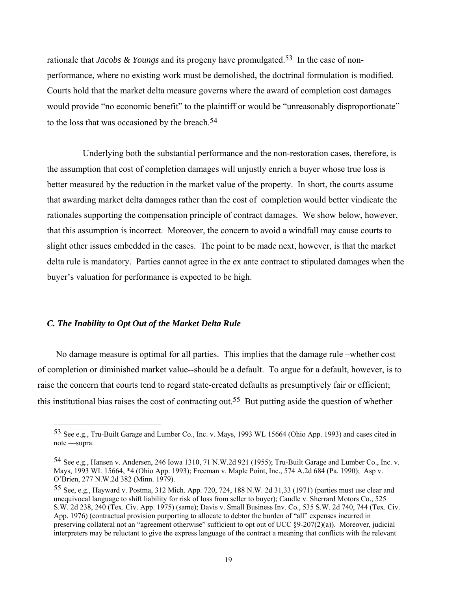rationale that *Jacobs & Youngs* and its progeny have promulgated.53 In the case of nonperformance, where no existing work must be demolished, the doctrinal formulation is modified. Courts hold that the market delta measure governs where the award of completion cost damages would provide "no economic benefit" to the plaintiff or would be "unreasonably disproportionate" to the loss that was occasioned by the breach.54

 Underlying both the substantial performance and the non-restoration cases, therefore, is the assumption that cost of completion damages will unjustly enrich a buyer whose true loss is better measured by the reduction in the market value of the property. In short, the courts assume that awarding market delta damages rather than the cost of completion would better vindicate the rationales supporting the compensation principle of contract damages. We show below, however, that this assumption is incorrect. Moreover, the concern to avoid a windfall may cause courts to slight other issues embedded in the cases. The point to be made next, however, is that the market delta rule is mandatory. Parties cannot agree in the ex ante contract to stipulated damages when the buyer's valuation for performance is expected to be high.

## *C. The Inability to Opt Out of the Market Delta Rule*

 $\overline{a}$ 

No damage measure is optimal for all parties. This implies that the damage rule –whether cost of completion or diminished market value--should be a default. To argue for a default, however, is to raise the concern that courts tend to regard state-created defaults as presumptively fair or efficient; this institutional bias raises the cost of contracting out.55 But putting aside the question of whether

<sup>53</sup> See e.g., Tru-Built Garage and Lumber Co., Inc. v. Mays, 1993 WL 15664 (Ohio App. 1993) and cases cited in note —supra.

<sup>54</sup> See e.g., Hansen v. Andersen, 246 Iowa 1310, 71 N.W.2d 921 (1955); Tru-Built Garage and Lumber Co., Inc. v. Mays, 1993 WL 15664, \*4 (Ohio App. 1993); Freeman v. Maple Point, Inc., 574 A.2d 684 (Pa. 1990); Asp v. O'Brien, 277 N.W.2d 382 (Minn. 1979).

<sup>55</sup> See, e.g., Hayward v. Postma, 312 Mich. App. 720, 724, 188 N.W. 2d 31,33 (1971) (parties must use clear and unequivocal language to shift liability for risk of loss from seller to buyer); Caudle v. Sherrard Motors Co., 525 S.W. 2d 238, 240 (Tex. Civ. App. 1975) (same); Davis v. Small Business Inv. Co., 535 S.W. 2d 740, 744 (Tex. Civ. App. 1976) (contractual provision purporting to allocate to debtor the burden of "all" expenses incurred in preserving collateral not an "agreement otherwise" sufficient to opt out of UCC §9-207(2)(a)). Moreover, judicial interpreters may be reluctant to give the express language of the contract a meaning that conflicts with the relevant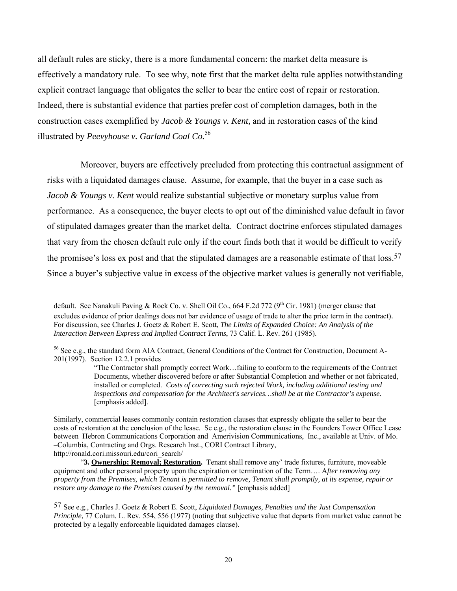all default rules are sticky, there is a more fundamental concern: the market delta measure is effectively a mandatory rule. To see why, note first that the market delta rule applies notwithstanding explicit contract language that obligates the seller to bear the entire cost of repair or restoration. Indeed, there is substantial evidence that parties prefer cost of completion damages, both in the construction cases exemplified by *Jacob & Youngs v. Kent,* and in restoration cases of the kind illustrated by *Peevyhouse v. Garland Coal Co.*<sup>56</sup>

 Moreover, buyers are effectively precluded from protecting this contractual assignment of risks with a liquidated damages clause. Assume, for example, that the buyer in a case such as *Jacob & Youngs v. Kent* would realize substantial subjective or monetary surplus value from performance. As a consequence, the buyer elects to opt out of the diminished value default in favor of stipulated damages greater than the market delta. Contract doctrine enforces stipulated damages that vary from the chosen default rule only if the court finds both that it would be difficult to verify the promisee's loss ex post and that the stipulated damages are a reasonable estimate of that  $\cos 57$ Since a buyer's subjective value in excess of the objective market values is generally not verifiable,

 $\overline{a}$ 

Similarly, commercial leases commonly contain restoration clauses that expressly obligate the seller to bear the costs of restoration at the conclusion of the lease. Se e.g., the restoration clause in the Founders Tower Office Lease between Hebron Communications Corporation and Amerivision Communications, Inc., available at Univ. of Mo. –Columbia, Contracting and Orgs. Research Inst., CORI Contract Library, http://ronald.cori.missouri.edu/cori\_search/

 "**3. Ownership; Removal; Restoration.** Tenant shall remove any' trade fixtures, furniture, moveable equipment and other personal property upon the expiration or termination of the Term…. A*fter removing any property from the Premises, which Tenant is permitted to remove, Tenant shall promptly, at its expense, repair or restore any damage to the Premises caused by the removal.*" [emphasis added]

default. See Nanakuli Paving & Rock Co. v. Shell Oil Co., 664 F.2d 772 (9<sup>th</sup> Cir. 1981) (merger clause that excludes evidence of prior dealings does not bar evidence of usage of trade to alter the price term in the contract). For discussion, see Charles J. Goetz & Robert E. Scott, *The Limits of Expanded Choice: An Analysis of the Interaction Between Express and Implied Contract Terms*, 73 Calif. L. Rev. 261 (1985).

<sup>56</sup> See e.g., the standard form AIA Contract, General Conditions of the Contract for Construction, Document A-201(1997). Section 12.2.1 provides

<sup>&</sup>quot;The Contractor shall promptly correct Work…failing to conform to the requirements of the Contract Documents, whether discovered before or after Substantial Completion and whether or not fabricated, installed or completed. *Costs of correcting such rejected Work, including additional testing and inspections and compensation for the Architect's services…shall be at the Contractor's expense.*  [emphasis added].

<sup>57</sup> See e.g., Charles J. Goetz & Robert E. Scott, *Liquidated Damages, Penalties and the Just Compensation Principle*, 77 Colum. L. Rev. 554, 556 (1977) (noting that subjective value that departs from market value cannot be protected by a legally enforceable liquidated damages clause).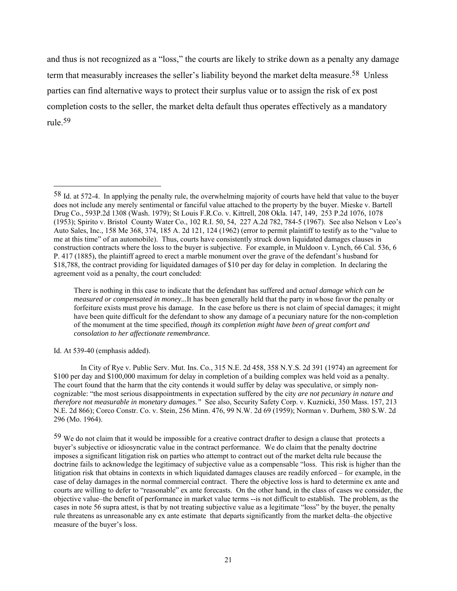and thus is not recognized as a "loss," the courts are likely to strike down as a penalty any damage term that measurably increases the seller's liability beyond the market delta measure.<sup>58</sup> Unless parties can find alternative ways to protect their surplus value or to assign the risk of ex post completion costs to the seller, the market delta default thus operates effectively as a mandatory rule.59

Id. At 539-40 (emphasis added).

<sup>58</sup> Id. at 572-4. In applying the penalty rule, the overwhelming majority of courts have held that value to the buyer does not include any merely sentimental or fanciful value attached to the property by the buyer. Mieske v. Bartell Drug Co., 593P.2d 1308 (Wash. 1979); St Louis F.R.Co. v. Kittrell, 208 Okla. 147, 149, 253 P.2d 1076, 1078 (1953); Spirito v. Bristol County Water Co., 102 R.I. 50, 54, 227 A.2d 782, 784-5 (1967). See also Nelson v Leo's Auto Sales, Inc., 158 Me 368, 374, 185 A. 2d 121, 124 (1962) (error to permit plaintiff to testify as to the "value to me at this time" of an automobile). Thus, courts have consistently struck down liquidated damages clauses in construction contracts where the loss to the buyer is subjective. For example, in Muldoon v. Lynch, 66 Cal. 536, 6 P. 417 (1885), the plaintiff agreed to erect a marble monument over the grave of the defendant's husband for \$18,788, the contract providing for liquidated damages of \$10 per day for delay in completion. In declaring the agreement void as a penalty, the court concluded:

There is nothing in this case to indicate that the defendant has suffered and *actual damage which can be measured or compensated in money...*It has been generally held that the party in whose favor the penalty or forfeiture exists must prove his damage. In the case before us there is not claim of special damages; it might have been quite difficult for the defendant to show any damage of a pecuniary nature for the non-completion of the monument at the time specified, *though its completion might have been of great comfort and consolation to her affectionate remembrance.* 

In City of Rye v. Public Serv. Mut. Ins. Co., 315 N.E. 2d 458, 358 N.Y.S. 2d 391 (1974) an agreement for \$100 per day and \$100,000 maximum for delay in completion of a building complex was held void as a penalty. The court found that the harm that the city contends it would suffer by delay was speculative, or simply noncognizable: "the most serious disappointments in expectation suffered by the city *are not pecuniary in nature and therefore not measurable in monetary damages."* See also, Security Safety Corp. v. Kuznicki, 350 Mass. 157, 213 N.E. 2d 866); Corco Constr. Co. v. Stein, 256 Minn. 476, 99 N.W. 2d 69 (1959); Norman v. Durhem, 380 S.W. 2d 296 (Mo. 1964).

 $59$  We do not claim that it would be impossible for a creative contract drafter to design a clause that protects a buyer's subjective or idiosyncratic value in the contract performance. We do claim that the penalty doctrine imposes a significant litigation risk on parties who attempt to contract out of the market delta rule because the doctrine fails to acknowledge the legitimacy of subjective value as a compensable "loss. This risk is higher than the litigation risk that obtains in contexts in which liquidated damages clauses are readily enforced – for example, in the case of delay damages in the normal commercial contract. There the objective loss is hard to determine ex ante and courts are willing to defer to "reasonable" ex ante forecasts. On the other hand, in the class of cases we consider, the objective value–the benefit of performance in market value terms --is not difficult to establish. The problem, as the cases in note 56 supra attest, is that by not treating subjective value as a legitimate "loss" by the buyer, the penalty rule threatens as unreasonable any ex ante estimate that departs significantly from the market delta–the objective measure of the buyer's loss.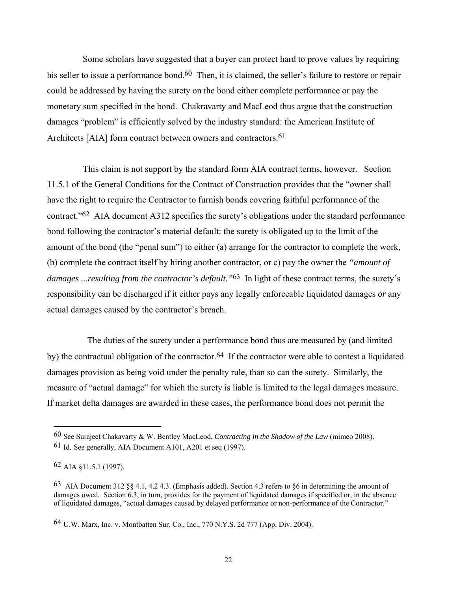Some scholars have suggested that a buyer can protect hard to prove values by requiring his seller to issue a performance bond.<sup>60</sup> Then, it is claimed, the seller's failure to restore or repair could be addressed by having the surety on the bond either complete performance or pay the monetary sum specified in the bond. Chakravarty and MacLeod thus argue that the construction damages "problem" is efficiently solved by the industry standard: the American Institute of Architects [AIA] form contract between owners and contractors.<sup>61</sup>

 This claim is not support by the standard form AIA contract terms, however. Section 11.5.1 of the General Conditions for the Contract of Construction provides that the "owner shall have the right to require the Contractor to furnish bonds covering faithful performance of the contract."62 AIA document A312 specifies the surety's obligations under the standard performance bond following the contractor's material default: the surety is obligated up to the limit of the amount of the bond (the "penal sum") to either (a) arrange for the contractor to complete the work, (b) complete the contract itself by hiring another contractor, or c) pay the owner the *"amount of damages ...resulting from the contractor's default."*63 In light of these contract terms, the surety's responsibility can be discharged if it either pays any legally enforceable liquidated damages *or* any actual damages caused by the contractor's breach.

 The duties of the surety under a performance bond thus are measured by (and limited by) the contractual obligation of the contractor.<sup>64</sup> If the contractor were able to contest a liquidated damages provision as being void under the penalty rule, than so can the surety. Similarly, the measure of "actual damage" for which the surety is liable is limited to the legal damages measure. If market delta damages are awarded in these cases, the performance bond does not permit the

<sup>60</sup> See Surajeet Chakavarty & W. Bentley MacLeod, *Contracting in the Shadow of the Law* (mimeo 2008).

<sup>61</sup> Id. See generally, AIA Document A101, A201 et seq (1997).

<sup>62</sup> AIA §11.5.1 (1997).

<sup>63</sup> AIA Document 312 §§ 4.1, 4.2 4.3. (Emphasis added). Section 4.3 refers to §6 in determining the amount of damages owed. Section 6.3, in turn, provides for the payment of liquidated damages if specified or, in the absence of liquidated damages, "actual damages caused by delayed performance or non-performance of the Contractor."

<sup>64</sup> U.W. Marx, Inc. v. Montbatten Sur. Co., Inc., 770 N.Y.S. 2d 777 (App. Div. 2004).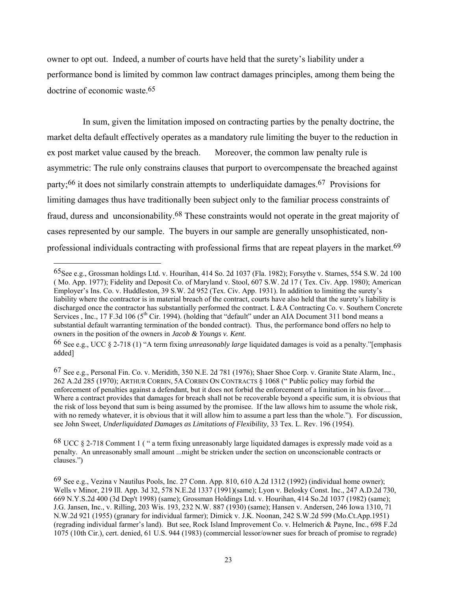owner to opt out. Indeed, a number of courts have held that the surety's liability under a performance bond is limited by common law contract damages principles, among them being the doctrine of economic waste.65

 In sum, given the limitation imposed on contracting parties by the penalty doctrine, the market delta default effectively operates as a mandatory rule limiting the buyer to the reduction in ex post market value caused by the breach. Moreover, the common law penalty rule is asymmetric: The rule only constrains clauses that purport to overcompensate the breached against party;<sup>66</sup> it does not similarly constrain attempts to underliquidate damages.<sup>67</sup> Provisions for limiting damages thus have traditionally been subject only to the familiar process constraints of fraud, duress and unconsionability.68 These constraints would not operate in the great majority of cases represented by our sample. The buyers in our sample are generally unsophisticated, nonprofessional individuals contracting with professional firms that are repeat players in the market.<sup>69</sup>

 $\overline{a}$ 

68 UCC § 2-718 Comment 1 ( " a term fixing unreasonably large liquidated damages is expressly made void as a penalty. An unreasonably small amount ...might be stricken under the section on unconscionable contracts or clauses.")

<sup>65</sup>See e.g., Grossman holdings Ltd. v. Hourihan, 414 So. 2d 1037 (Fla. 1982); Forsythe v. Starnes, 554 S.W. 2d 100 ( Mo. App. 1977); Fidelity and Deposit Co. of Maryland v. Stool, 607 S.W. 2d 17 ( Tex. Civ. App. 1980); American Employer's Ins. Co. v. Huddleston, 39 S.W. 2d 952 (Tex. Civ. App. 1931). In addition to limiting the surety's liability where the contractor is in material breach of the contract, courts have also held that the surety's liability is discharged once the contractor has substantially performed the contract. L &A Contracting Co. v. Southern Concrete Services, Inc., 17 F.3d 106 (5<sup>th</sup> Cir. 1994). (holding that "default" under an AIA Document 311 bond means a substantial default warranting termination of the bonded contract). Thus, the performance bond offers no help to owners in the position of the owners in *Jacob & Youngs v. Kent*.

<sup>66</sup> See e.g., UCC § 2-718 (1) "A term fixing *unreasonably large* liquidated damages is void as a penalty."[emphasis added]

<sup>67</sup> See e.g., Personal Fin. Co. v. Meridith, 350 N.E. 2d 781 (1976); Shaer Shoe Corp. v. Granite State Alarm, Inc., 262 A.2d 285 (1970); ARTHUR CORBIN, 5A CORBIN ON CONTRACTS § 1068 (" Public policy may forbid the enforcement of penalties against a defendant, but it does not forbid the enforcement of a limitation in his favor.... Where a contract provides that damages for breach shall not be recoverable beyond a specific sum, it is obvious that the risk of loss beyond that sum is being assumed by the promisee. If the law allows him to assume the whole risk, with no remedy whatever, it is obvious that it will allow him to assume a part less than the whole."). For discussion, see John Sweet, *Underliquidated Damages as Limitations of Flexibility,* 33 Tex. L. Rev. 196 (1954).

<sup>69</sup> See e.g., Vezina v Nautilus Pools, Inc. 27 Conn. App. 810, 610 A.2d 1312 (1992) (individual home owner); Wells v Minor, 219 Ill. App. 3d 32, 578 N.E.2d 1337 (1991)(same); Lyon v. Belosky Const. Inc., 247 A.D.2d 730, 669 N.Y.S.2d 400 (3d Dep't 1998) (same); Grossman Holdings Ltd. v. Hourihan, 414 So.2d 1037 (1982) (same); J.G. Jansen, Inc., v. Rilling, 203 Wis. 193, 232 N.W. 887 (1930) (same); Hansen v. Andersen, 246 Iowa 1310, 71 N.W.2d 921 (1955) (granary for individual farmer); Dimick v. J.K. Noonan, 242 S.W.2d 599 (Mo.Ct.App.1951) (regrading individual farmer's land). But see, Rock Island Improvement Co. v. Helmerich & Payne, Inc., 698 F.2d 1075 (10th Cir.), cert. denied, 61 U.S. 944 (1983) (commercial lessor/owner sues for breach of promise to regrade)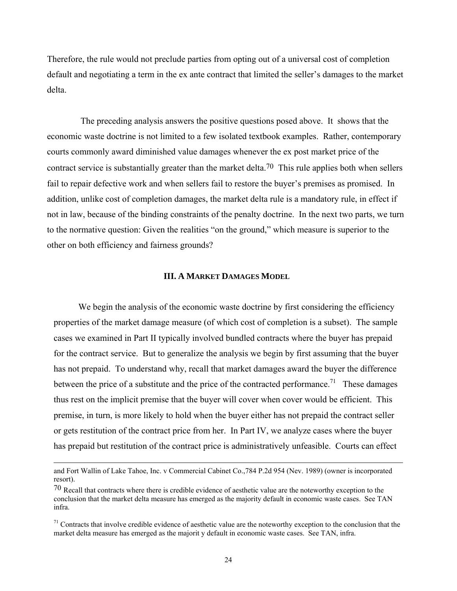Therefore, the rule would not preclude parties from opting out of a universal cost of completion default and negotiating a term in the ex ante contract that limited the seller's damages to the market delta.

The preceding analysis answers the positive questions posed above. It shows that the economic waste doctrine is not limited to a few isolated textbook examples. Rather, contemporary courts commonly award diminished value damages whenever the ex post market price of the contract service is substantially greater than the market delta.70 This rule applies both when sellers fail to repair defective work and when sellers fail to restore the buyer's premises as promised. In addition, unlike cost of completion damages, the market delta rule is a mandatory rule, in effect if not in law, because of the binding constraints of the penalty doctrine. In the next two parts, we turn to the normative question: Given the realities "on the ground," which measure is superior to the other on both efficiency and fairness grounds?

# **III. A MARKET DAMAGES MODEL**

 We begin the analysis of the economic waste doctrine by first considering the efficiency properties of the market damage measure (of which cost of completion is a subset). The sample cases we examined in Part II typically involved bundled contracts where the buyer has prepaid for the contract service. But to generalize the analysis we begin by first assuming that the buyer has not prepaid. To understand why, recall that market damages award the buyer the difference between the price of a substitute and the price of the contracted performance.<sup>71</sup> These damages thus rest on the implicit premise that the buyer will cover when cover would be efficient. This premise, in turn, is more likely to hold when the buyer either has not prepaid the contract seller or gets restitution of the contract price from her. In Part IV, we analyze cases where the buyer has prepaid but restitution of the contract price is administratively unfeasible. Courts can effect

and Fort Wallin of Lake Tahoe, Inc. v Commercial Cabinet Co.,784 P.2d 954 (Nev. 1989) (owner is incorporated resort).

<sup>70</sup> Recall that contracts where there is credible evidence of aesthetic value are the noteworthy exception to the conclusion that the market delta measure has emerged as the majority default in economic waste cases. See TAN infra.

 $71$  Contracts that involve credible evidence of aesthetic value are the noteworthy exception to the conclusion that the market delta measure has emerged as the majorit y default in economic waste cases. See TAN, infra.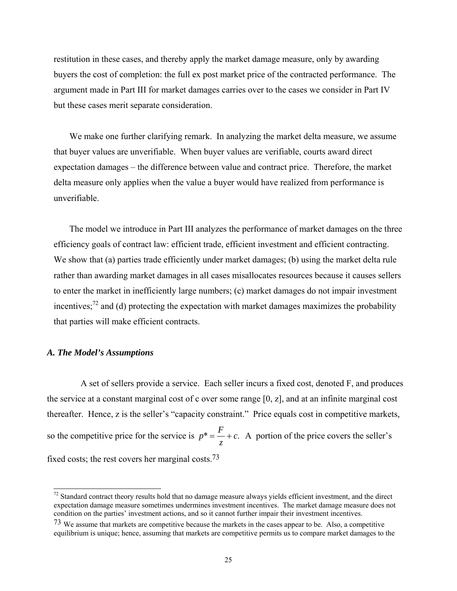restitution in these cases, and thereby apply the market damage measure, only by awarding buyers the cost of completion: the full ex post market price of the contracted performance. The argument made in Part III for market damages carries over to the cases we consider in Part IV but these cases merit separate consideration.

We make one further clarifying remark. In analyzing the market delta measure, we assume that buyer values are unverifiable. When buyer values are verifiable, courts award direct expectation damages – the difference between value and contract price. Therefore, the market delta measure only applies when the value a buyer would have realized from performance is unverifiable.

 The model we introduce in Part III analyzes the performance of market damages on the three efficiency goals of contract law: efficient trade, efficient investment and efficient contracting. We show that (a) parties trade efficiently under market damages; (b) using the market delta rule rather than awarding market damages in all cases misallocates resources because it causes sellers to enter the market in inefficiently large numbers; (c) market damages do not impair investment incentives; $^{72}$  and (d) protecting the expectation with market damages maximizes the probability that parties will make efficient contracts.

## *A. The Model's Assumptions*

 $\overline{a}$ 

 A set of sellers provide a service. Each seller incurs a fixed cost, denoted F, and produces the service at a constant marginal cost of c over some range [0, z], and at an infinite marginal cost thereafter. Hence, z is the seller's "capacity constraint." Price equals cost in competitive markets, so the competitive price for the service is  $p^* = \frac{F}{z} + c$ . A portion of the price covers the seller's fixed costs; the rest covers her marginal costs.73

 $72$  Standard contract theory results hold that no damage measure always yields efficient investment, and the direct expectation damage measure sometimes undermines investment incentives. The market damage measure does not condition on the parties' investment actions, and so it cannot further impair their investment incentives.

<sup>73</sup> We assume that markets are competitive because the markets in the cases appear to be. Also, a competitive equilibrium is unique; hence, assuming that markets are competitive permits us to compare market damages to the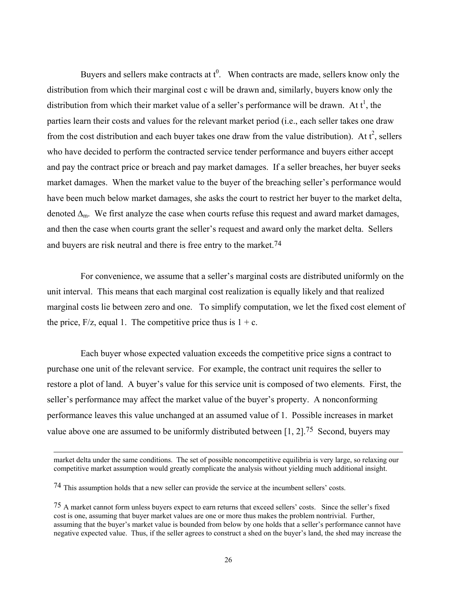Buyers and sellers make contracts at  $t^0$ . When contracts are made, sellers know only the distribution from which their marginal cost c will be drawn and, similarly, buyers know only the distribution from which their market value of a seller's performance will be drawn. At  $t^1$ , the parties learn their costs and values for the relevant market period (i.e., each seller takes one draw from the cost distribution and each buyer takes one draw from the value distribution). At  $t^2$ , sellers who have decided to perform the contracted service tender performance and buyers either accept and pay the contract price or breach and pay market damages. If a seller breaches, her buyer seeks market damages. When the market value to the buyer of the breaching seller's performance would have been much below market damages, she asks the court to restrict her buyer to the market delta, denoted  $\Delta_{m}$ . We first analyze the case when courts refuse this request and award market damages, and then the case when courts grant the seller's request and award only the market delta. Sellers and buyers are risk neutral and there is free entry to the market.74

 For convenience, we assume that a seller's marginal costs are distributed uniformly on the unit interval. This means that each marginal cost realization is equally likely and that realized marginal costs lie between zero and one. To simplify computation, we let the fixed cost element of the price,  $F/z$ , equal 1. The competitive price thus is  $1 + c$ .

 Each buyer whose expected valuation exceeds the competitive price signs a contract to purchase one unit of the relevant service. For example, the contract unit requires the seller to restore a plot of land. A buyer's value for this service unit is composed of two elements. First, the seller's performance may affect the market value of the buyer's property. A nonconforming performance leaves this value unchanged at an assumed value of 1. Possible increases in market value above one are assumed to be uniformly distributed between [1, 2].75 Second, buyers may

l

market delta under the same conditions. The set of possible noncompetitive equilibria is very large, so relaxing our competitive market assumption would greatly complicate the analysis without yielding much additional insight.

<sup>74</sup> This assumption holds that a new seller can provide the service at the incumbent sellers' costs.

<sup>75</sup> A market cannot form unless buyers expect to earn returns that exceed sellers' costs. Since the seller's fixed cost is one, assuming that buyer market values are one or more thus makes the problem nontrivial. Further, assuming that the buyer's market value is bounded from below by one holds that a seller's performance cannot have negative expected value. Thus, if the seller agrees to construct a shed on the buyer's land, the shed may increase the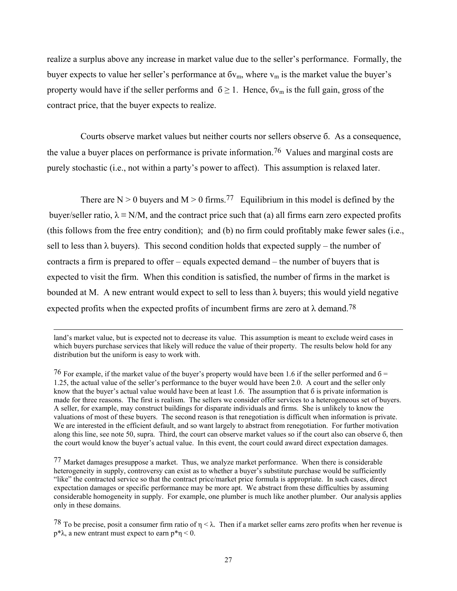realize a surplus above any increase in market value due to the seller's performance. Formally, the buyer expects to value her seller's performance at  $6v_m$ , where  $v_m$  is the market value the buyer's property would have if the seller performs and  $6 \ge 1$ . Hence,  $6v_m$  is the full gain, gross of the contract price, that the buyer expects to realize.

 Courts observe market values but neither courts nor sellers observe б. As a consequence, the value a buyer places on performance is private information.76 Values and marginal costs are purely stochastic (i.e., not within a party's power to affect). This assumption is relaxed later.

There are  $N > 0$  buyers and  $M > 0$  firms.<sup>77</sup> Equilibrium in this model is defined by the buyer/seller ratio,  $\lambda \equiv N/M$ , and the contract price such that (a) all firms earn zero expected profits (this follows from the free entry condition); and (b) no firm could profitably make fewer sales (i.e., sell to less than  $\lambda$  buyers). This second condition holds that expected supply – the number of contracts a firm is prepared to offer – equals expected demand – the number of buyers that is expected to visit the firm. When this condition is satisfied, the number of firms in the market is bounded at M. A new entrant would expect to sell to less than  $\lambda$  buyers; this would yield negative expected profits when the expected profits of incumbent firms are zero at  $\lambda$  demand.<sup>78</sup>

land's market value, but is expected not to decrease its value. This assumption is meant to exclude weird cases in which buyers purchase services that likely will reduce the value of their property. The results below hold for any distribution but the uniform is easy to work with.

<sup>&</sup>lt;sup>76</sup> For example, if the market value of the buyer's property would have been 1.6 if the seller performed and  $\sigma$  = 1.25, the actual value of the seller's performance to the buyer would have been 2.0. A court and the seller only know that the buyer's actual value would have been at least 1.6. The assumption that 6 is private information is made for three reasons. The first is realism. The sellers we consider offer services to a heterogeneous set of buyers. A seller, for example, may construct buildings for disparate individuals and firms. She is unlikely to know the valuations of most of these buyers. The second reason is that renegotiation is difficult when information is private. We are interested in the efficient default, and so want largely to abstract from renegotiation. For further motivation along this line, see note 50, supra. Third, the court can observe market values so if the court also can observe б, then the court would know the buyer's actual value. In this event, the court could award direct expectation damages.

<sup>77</sup> Market damages presuppose a market. Thus, we analyze market performance. When there is considerable heterogeneity in supply, controversy can exist as to whether a buyer's substitute purchase would be sufficiently "like" the contracted service so that the contract price/market price formula is appropriate. In such cases, direct expectation damages or specific performance may be more apt. We abstract from these difficulties by assuming considerable homogeneity in supply. For example, one plumber is much like another plumber. Our analysis applies only in these domains.

<sup>78</sup> To be precise, posit a consumer firm ratio of  $\eta < \lambda$ . Then if a market seller earns zero profits when her revenue is p<sup>\*</sup>λ, a new entrant must expect to earn p<sup>\*</sup>η < 0.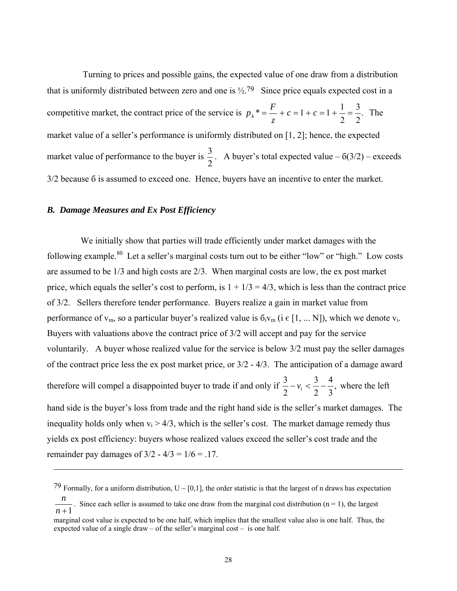Turning to prices and possible gains, the expected value of one draw from a distribution that is uniformly distributed between zero and one is  $\frac{1}{2}$ .<sup>79</sup> Since price equals expected cost in a competitive market, the contract price of the service is  $p_k^* = - + c = 1 + c = 1 + \frac{1}{2} = \frac{1}{2}$ . 2 3  $* = \frac{F}{z} + c = 1 + c = 1 + \frac{1}{2}$  $p_k^* = \frac{1}{2} + c = 1 + c = 1 + \frac{1}{2} = \frac{5}{2}$ . The market value of a seller's performance is uniformly distributed on [1, 2]; hence, the expected market value of performance to the buyer is  $\frac{3}{2}$ . A buyer's total expected value – 6(3/2) – exceeds 3/2 because б is assumed to exceed one. Hence, buyers have an incentive to enter the market.

# *B. Damage Measures and Ex Post Efficiency*

 $\overline{a}$ 

 We initially show that parties will trade efficiently under market damages with the following example.<sup>80</sup> Let a seller's marginal costs turn out to be either "low" or "high." Low costs are assumed to be 1/3 and high costs are 2/3. When marginal costs are low, the ex post market price, which equals the seller's cost to perform, is  $1 + 1/3 = 4/3$ , which is less than the contract price of 3/2. Sellers therefore tender performance. Buyers realize a gain in market value from performance of  $v_m$ , so a particular buyer's realized value is  $\delta_i v_m$  (i  $\epsilon$  [1, ... N]), which we denote  $v_i$ . Buyers with valuations above the contract price of 3/2 will accept and pay for the service voluntarily. A buyer whose realized value for the service is below 3/2 must pay the seller damages of the contract price less the ex post market price, or 3/2 - 4/3. The anticipation of a damage award 4 3

therefore will compel a disappointed buyer to trade if and only if  $\frac{3}{2} - v_i < \frac{3}{2} - \frac{1}{2}$ , 3 2  $\frac{3}{2} - v_i < \frac{3}{2} - \frac{4}{3}$ , where the left hand side is the buyer's loss from trade and the right hand side is the seller's market damages. The

inequality holds only when  $v_i > 4/3$ , which is the seller's cost. The market damage remedy thus yields ex post efficiency: buyers whose realized values exceed the seller's cost trade and the remainder pay damages of  $3/2 - 4/3 = 1/6 = .17$ .

<sup>79</sup> Formally, for a uniform distribution,  $U \sim [0,1]$ , the order statistic is that the largest of n draws has expectation

*n* +1 *n*. Since each seller is assumed to take one draw from the marginal cost distribution (n = 1), the largest

marginal cost value is expected to be one half, which implies that the smallest value also is one half. Thus, the expected value of a single draw – of the seller's marginal cost – is one half.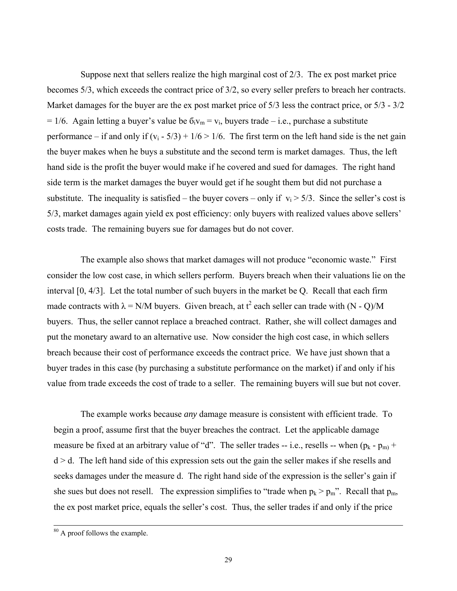Suppose next that sellers realize the high marginal cost of 2/3. The ex post market price becomes 5/3, which exceeds the contract price of 3/2, so every seller prefers to breach her contracts. Market damages for the buyer are the ex post market price of 5/3 less the contract price, or 5/3 - 3/2 = 1/6. Again letting a buyer's value be  $\delta_i v_m = v_i$ , buyers trade – i.e., purchase a substitute performance – if and only if  $(v_i - 5/3) + 1/6 > 1/6$ . The first term on the left hand side is the net gain the buyer makes when he buys a substitute and the second term is market damages. Thus, the left hand side is the profit the buyer would make if he covered and sued for damages. The right hand side term is the market damages the buyer would get if he sought them but did not purchase a substitute. The inequality is satisfied – the buyer covers – only if  $v_i > 5/3$ . Since the seller's cost is 5/3, market damages again yield ex post efficiency: only buyers with realized values above sellers' costs trade. The remaining buyers sue for damages but do not cover.

 The example also shows that market damages will not produce "economic waste." First consider the low cost case, in which sellers perform. Buyers breach when their valuations lie on the interval [0, 4/3]. Let the total number of such buyers in the market be Q. Recall that each firm made contracts with  $\lambda = N/M$  buyers. Given breach, at  $t^2$  each seller can trade with  $(N - Q)/M$ buyers. Thus, the seller cannot replace a breached contract. Rather, she will collect damages and put the monetary award to an alternative use. Now consider the high cost case, in which sellers breach because their cost of performance exceeds the contract price. We have just shown that a buyer trades in this case (by purchasing a substitute performance on the market) if and only if his value from trade exceeds the cost of trade to a seller. The remaining buyers will sue but not cover.

The example works because *any* damage measure is consistent with efficient trade. To begin a proof, assume first that the buyer breaches the contract. Let the applicable damage measure be fixed at an arbitrary value of "d". The seller trades -- i.e., resells -- when  $(p_k - p_m)$  +  $d > d$ . The left hand side of this expression sets out the gain the seller makes if she resells and seeks damages under the measure d. The right hand side of the expression is the seller's gain if she sues but does not resell. The expression simplifies to "trade when  $p_k > p_m$ ". Recall that  $p_m$ , the ex post market price, equals the seller's cost. Thus, the seller trades if and only if the price

 <sup>80</sup> A proof follows the example.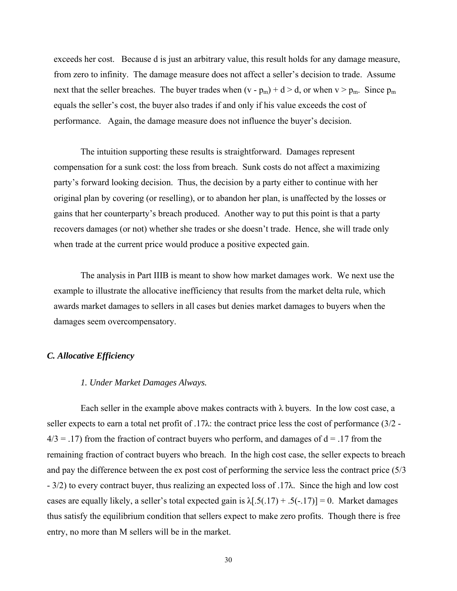exceeds her cost. Because d is just an arbitrary value, this result holds for any damage measure, from zero to infinity. The damage measure does not affect a seller's decision to trade. Assume next that the seller breaches. The buyer trades when  $(v - p_m) + d > d$ , or when  $v > p_m$ . Since  $p_m$ equals the seller's cost, the buyer also trades if and only if his value exceeds the cost of performance. Again, the damage measure does not influence the buyer's decision.

The intuition supporting these results is straightforward. Damages represent compensation for a sunk cost: the loss from breach. Sunk costs do not affect a maximizing party's forward looking decision. Thus, the decision by a party either to continue with her original plan by covering (or reselling), or to abandon her plan, is unaffected by the losses or gains that her counterparty's breach produced. Another way to put this point is that a party recovers damages (or not) whether she trades or she doesn't trade. Hence, she will trade only when trade at the current price would produce a positive expected gain.

 The analysis in Part IIIB is meant to show how market damages work. We next use the example to illustrate the allocative inefficiency that results from the market delta rule, which awards market damages to sellers in all cases but denies market damages to buyers when the damages seem overcompensatory.

## *C. Allocative Efficiency*

## *1. Under Market Damages Always.*

Each seller in the example above makes contracts with  $\lambda$  buyers. In the low cost case, a seller expects to earn a total net profit of .17λ: the contract price less the cost of performance (3/2 -  $4/3 = .17$ ) from the fraction of contract buyers who perform, and damages of  $d = .17$  from the remaining fraction of contract buyers who breach. In the high cost case, the seller expects to breach and pay the difference between the ex post cost of performing the service less the contract price (5/3 - 3/2) to every contract buyer, thus realizing an expected loss of .17λ. Since the high and low cost cases are equally likely, a seller's total expected gain is  $\lambda$ [.5(.17) + .5(-.17)] = 0. Market damages thus satisfy the equilibrium condition that sellers expect to make zero profits. Though there is free entry, no more than M sellers will be in the market.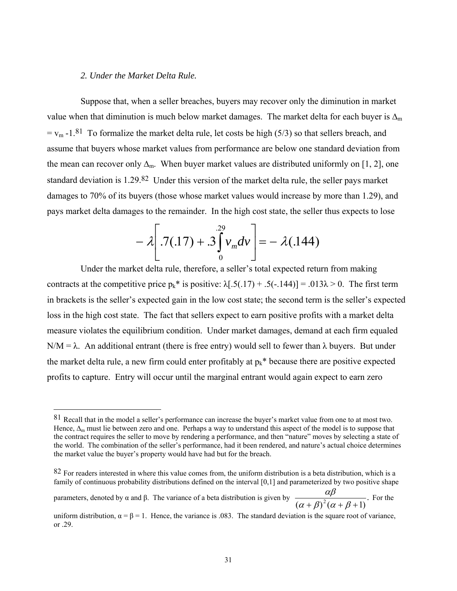## *2. Under the Market Delta Rule.*

 $\overline{a}$ 

 Suppose that, when a seller breaches, buyers may recover only the diminution in market value when that diminution is much below market damages. The market delta for each buyer is  $\Delta_{m}$  $= v_m -1.81$  To formalize the market delta rule, let costs be high (5/3) so that sellers breach, and assume that buyers whose market values from performance are below one standard deviation from the mean can recover only  $\Delta_{m}$ . When buyer market values are distributed uniformly on [1, 2], one standard deviation is 1.29.82 Under this version of the market delta rule, the seller pays market damages to 70% of its buyers (those whose market values would increase by more than 1.29), and pays market delta damages to the remainder. In the high cost state, the seller thus expects to lose

$$
-\lambda\bigg[\cdot7(.17)+.3\bigg]v_m dv\bigg]=-\lambda(.144)
$$

 Under the market delta rule, therefore, a seller's total expected return from making contracts at the competitive price  $p_k^*$  is positive:  $\lambda$ [.5(.17) + .5(-.144)] = .013 $\lambda$  > 0. The first term in brackets is the seller's expected gain in the low cost state; the second term is the seller's expected loss in the high cost state. The fact that sellers expect to earn positive profits with a market delta measure violates the equilibrium condition. Under market damages, demand at each firm equaled N/M =  $\lambda$ . An additional entrant (there is free entry) would sell to fewer than  $\lambda$  buyers. But under the market delta rule, a new firm could enter profitably at  $p_k^*$  because there are positive expected profits to capture. Entry will occur until the marginal entrant would again expect to earn zero

parameters, denoted by α and β. The variance of a beta distribution is given by  $\frac{\alpha\beta}{(\alpha+\beta)^2(\alpha+\beta+1)}$ . For the

<sup>81</sup> Recall that in the model a seller's performance can increase the buyer's market value from one to at most two. Hence,  $\Delta_m$  must lie between zero and one. Perhaps a way to understand this aspect of the model is to suppose that the contract requires the seller to move by rendering a performance, and then "nature" moves by selecting a state of the world. The combination of the seller's performance, had it been rendered, and nature's actual choice determines the market value the buyer's property would have had but for the breach.

 $82$  For readers interested in where this value comes from, the uniform distribution is a beta distribution, which is a family of continuous probability distributions defined on the interval [0,1] and parameterized by two positive shape

uniform distribution,  $\alpha = \beta = 1$ . Hence, the variance is .083. The standard deviation is the square root of variance, or .29.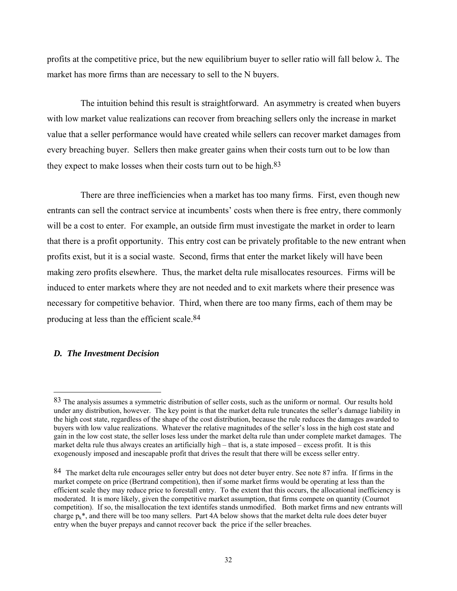profits at the competitive price, but the new equilibrium buyer to seller ratio will fall below λ. The market has more firms than are necessary to sell to the N buyers.

 The intuition behind this result is straightforward. An asymmetry is created when buyers with low market value realizations can recover from breaching sellers only the increase in market value that a seller performance would have created while sellers can recover market damages from every breaching buyer. Sellers then make greater gains when their costs turn out to be low than they expect to make losses when their costs turn out to be high.<sup>83</sup>

 There are three inefficiencies when a market has too many firms. First, even though new entrants can sell the contract service at incumbents' costs when there is free entry, there commonly will be a cost to enter. For example, an outside firm must investigate the market in order to learn that there is a profit opportunity. This entry cost can be privately profitable to the new entrant when profits exist, but it is a social waste. Second, firms that enter the market likely will have been making zero profits elsewhere. Thus, the market delta rule misallocates resources. Firms will be induced to enter markets where they are not needed and to exit markets where their presence was necessary for competitive behavior. Third, when there are too many firms, each of them may be producing at less than the efficient scale.84

# *D. The Investment Decision*

<sup>83</sup> The analysis assumes a symmetric distribution of seller costs, such as the uniform or normal. Our results hold under any distribution, however. The key point is that the market delta rule truncates the seller's damage liability in the high cost state, regardless of the shape of the cost distribution, because the rule reduces the damages awarded to buyers with low value realizations. Whatever the relative magnitudes of the seller's loss in the high cost state and gain in the low cost state, the seller loses less under the market delta rule than under complete market damages. The market delta rule thus always creates an artificially high – that is, a state imposed – excess profit. It is this exogenously imposed and inescapable profit that drives the result that there will be excess seller entry.

<sup>84</sup> The market delta rule encourages seller entry but does not deter buyer entry. See note 87 infra. If firms in the market compete on price (Bertrand competition), then if some market firms would be operating at less than the efficient scale they may reduce price to forestall entry. To the extent that this occurs, the allocational inefficiency is moderated. It is more likely, given the competitive market assumption, that firms compete on quantity (Cournot competition). If so, the misallocation the text identifes stands unmodified. Both market firms and new entrants will charge  $p_k^*$ , and there will be too many sellers. Part 4A below shows that the market delta rule does deter buyer entry when the buyer prepays and cannot recover back the price if the seller breaches.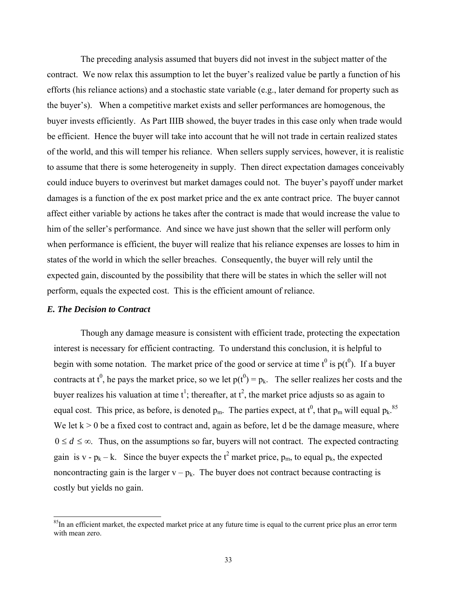The preceding analysis assumed that buyers did not invest in the subject matter of the contract. We now relax this assumption to let the buyer's realized value be partly a function of his efforts (his reliance actions) and a stochastic state variable (e.g., later demand for property such as the buyer's). When a competitive market exists and seller performances are homogenous, the buyer invests efficiently. As Part IIIB showed, the buyer trades in this case only when trade would be efficient. Hence the buyer will take into account that he will not trade in certain realized states of the world, and this will temper his reliance. When sellers supply services, however, it is realistic to assume that there is some heterogeneity in supply. Then direct expectation damages conceivably could induce buyers to overinvest but market damages could not. The buyer's payoff under market damages is a function of the ex post market price and the ex ante contract price. The buyer cannot affect either variable by actions he takes after the contract is made that would increase the value to him of the seller's performance. And since we have just shown that the seller will perform only when performance is efficient, the buyer will realize that his reliance expenses are losses to him in states of the world in which the seller breaches. Consequently, the buyer will rely until the expected gain, discounted by the possibility that there will be states in which the seller will not perform, equals the expected cost. This is the efficient amount of reliance.

# *E. The Decision to Contract*

 $\overline{a}$ 

Though any damage measure is consistent with efficient trade, protecting the expectation interest is necessary for efficient contracting. To understand this conclusion, it is helpful to begin with some notation. The market price of the good or service at time  $t^0$  is  $p(t^0)$ . If a buyer contracts at t<sup>0</sup>, he pays the market price, so we let  $p(t^0) = p_k$ . The seller realizes her costs and the buyer realizes his valuation at time  $t^1$ ; thereafter, at  $t^2$ , the market price adjusts so as again to equal cost. This price, as before, is denoted  $p_m$ . The parties expect, at  $t^0$ , that  $p_m$  will equal  $p_k$ .<sup>85</sup> We let  $k > 0$  be a fixed cost to contract and, again as before, let d be the damage measure, where  $0 \le d \le \infty$ . Thus, on the assumptions so far, buyers will not contract. The expected contracting gain is v -  $p_k - k$ . Since the buyer expects the  $t^2$  market price,  $p_m$ , to equal  $p_k$ , the expected noncontracting gain is the larger  $v - p_k$ . The buyer does not contract because contracting is costly but yields no gain.

 $85$ In an efficient market, the expected market price at any future time is equal to the current price plus an error term with mean zero.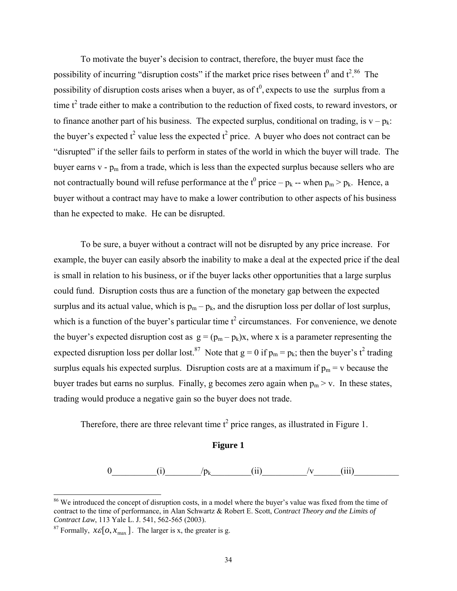To motivate the buyer's decision to contract, therefore, the buyer must face the possibility of incurring "disruption costs" if the market price rises between  $t^0$  and  $t^{2.86}$  The possibility of disruption costs arises when a buyer, as of  $t^0$ , expects to use the surplus from a time  $t^2$  trade either to make a contribution to the reduction of fixed costs, to reward investors, or to finance another part of his business. The expected surplus, conditional on trading, is  $v - p_k$ . the buyer's expected  $t^2$  value less the expected  $t^2$  price. A buyer who does not contract can be "disrupted" if the seller fails to perform in states of the world in which the buyer will trade. The buyer earns  $v - p_m$  from a trade, which is less than the expected surplus because sellers who are not contractually bound will refuse performance at the  $t^0$  price  $-p_k$  -- when  $p_m > p_k$ . Hence, a buyer without a contract may have to make a lower contribution to other aspects of his business than he expected to make. He can be disrupted.

 To be sure, a buyer without a contract will not be disrupted by any price increase. For example, the buyer can easily absorb the inability to make a deal at the expected price if the deal is small in relation to his business, or if the buyer lacks other opportunities that a large surplus could fund. Disruption costs thus are a function of the monetary gap between the expected surplus and its actual value, which is  $p_m - p_k$ , and the disruption loss per dollar of lost surplus, which is a function of the buyer's particular time  $t^2$  circumstances. For convenience, we denote the buyer's expected disruption cost as  $g = (p_m - p_k)x$ , where x is a parameter representing the expected disruption loss per dollar lost.<sup>87</sup> Note that  $g = 0$  if  $p_m = p_k$ ; then the buyer's t<sup>2</sup> trading surplus equals his expected surplus. Disruption costs are at a maximum if  $p_m = v$  because the buyer trades but earns no surplus. Finally, g becomes zero again when  $p_m > v$ . In these states, trading would produce a negative gain so the buyer does not trade.

Therefore, there are three relevant time  $t^2$  price ranges, as illustrated in Figure 1.

## **Figure 1**

0 (i)  $/p_k$  (ii)  $/v$  (iii)

l

<sup>&</sup>lt;sup>86</sup> We introduced the concept of disruption costs, in a model where the buyer's value was fixed from the time of contract to the time of performance, in Alan Schwartz & Robert E. Scott, *Contract Theory and the Limits of* 

<sup>&</sup>lt;sup>87</sup> Formally,  $x \in [0, x_{\text{max}}]$ . The larger is x, the greater is g.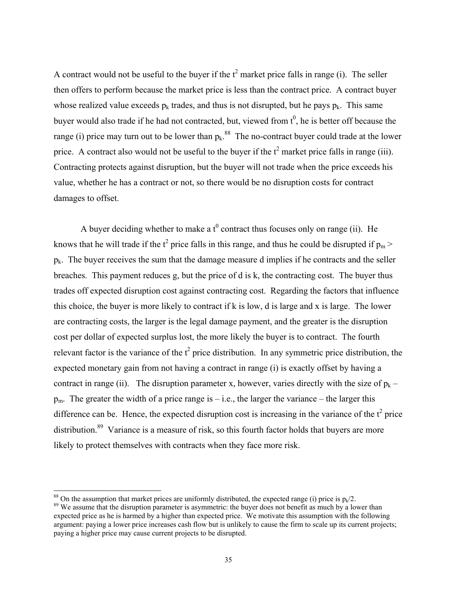A contract would not be useful to the buyer if the  $t^2$  market price falls in range (i). The seller then offers to perform because the market price is less than the contract price. A contract buyer whose realized value exceeds  $p_k$  trades, and thus is not disrupted, but he pays  $p_k$ . This same buyer would also trade if he had not contracted, but, viewed from  $t^0$ , he is better off because the range (i) price may turn out to be lower than  $p_k$ .<sup>88</sup> The no-contract buyer could trade at the lower price. A contract also would not be useful to the buyer if the  $t^2$  market price falls in range (iii). Contracting protects against disruption, but the buyer will not trade when the price exceeds his value, whether he has a contract or not, so there would be no disruption costs for contract damages to offset.

A buyer deciding whether to make a  $t^0$  contract thus focuses only on range (ii). He knows that he will trade if the  $t^2$  price falls in this range, and thus he could be disrupted if  $p_m$  >  $p_k$ . The buyer receives the sum that the damage measure d implies if he contracts and the seller breaches. This payment reduces g, but the price of d is k, the contracting cost. The buyer thus trades off expected disruption cost against contracting cost. Regarding the factors that influence this choice, the buyer is more likely to contract if k is low, d is large and x is large. The lower are contracting costs, the larger is the legal damage payment, and the greater is the disruption cost per dollar of expected surplus lost, the more likely the buyer is to contract. The fourth relevant factor is the variance of the  $t^2$  price distribution. In any symmetric price distribution, the expected monetary gain from not having a contract in range (i) is exactly offset by having a contract in range (ii). The disruption parameter x, however, varies directly with the size of  $p_k$  –  $p_m$ . The greater the width of a price range is – i.e., the larger the variance – the larger this difference can be. Hence, the expected disruption cost is increasing in the variance of the  $t^2$  price distribution.<sup>89</sup> Variance is a measure of risk, so this fourth factor holds that buyers are more likely to protect themselves with contracts when they face more risk.

<sup>&</sup>lt;sup>88</sup> On the assumption that market prices are uniformly distributed, the expected range (i) price is  $p_k/2$ .<br><sup>89</sup> We assume that the disruption parameter is asymmetric: the buyer does not benefit as much by a lower than

expected price as he is harmed by a higher than expected price. We motivate this assumption with the following argument: paying a lower price increases cash flow but is unlikely to cause the firm to scale up its current projects; paying a higher price may cause current projects to be disrupted.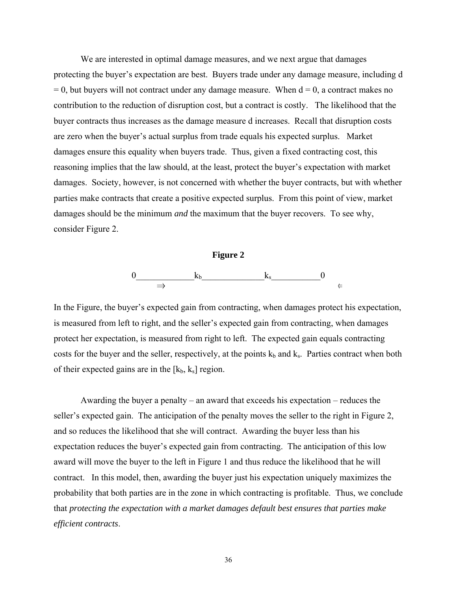We are interested in optimal damage measures, and we next argue that damages protecting the buyer's expectation are best. Buyers trade under any damage measure, including d  $= 0$ , but buyers will not contract under any damage measure. When  $d = 0$ , a contract makes no contribution to the reduction of disruption cost, but a contract is costly. The likelihood that the buyer contracts thus increases as the damage measure d increases. Recall that disruption costs are zero when the buyer's actual surplus from trade equals his expected surplus. Market damages ensure this equality when buyers trade. Thus, given a fixed contracting cost, this reasoning implies that the law should, at the least, protect the buyer's expectation with market damages. Society, however, is not concerned with whether the buyer contracts, but with whether parties make contracts that create a positive expected surplus. From this point of view, market damages should be the minimum *and* the maximum that the buyer recovers. To see why, consider Figure 2.



In the Figure, the buyer's expected gain from contracting, when damages protect his expectation, is measured from left to right, and the seller's expected gain from contracting, when damages protect her expectation, is measured from right to left. The expected gain equals contracting costs for the buyer and the seller, respectively, at the points  $k_b$  and  $k_s$ . Parties contract when both of their expected gains are in the  $[k_b, k_s]$  region.

Awarding the buyer a penalty – an award that exceeds his expectation – reduces the seller's expected gain. The anticipation of the penalty moves the seller to the right in Figure 2, and so reduces the likelihood that she will contract. Awarding the buyer less than his expectation reduces the buyer's expected gain from contracting. The anticipation of this low award will move the buyer to the left in Figure 1 and thus reduce the likelihood that he will contract. In this model, then, awarding the buyer just his expectation uniquely maximizes the probability that both parties are in the zone in which contracting is profitable. Thus, we conclude that *protecting the expectation with a market damages default best ensures that parties make efficient contracts*.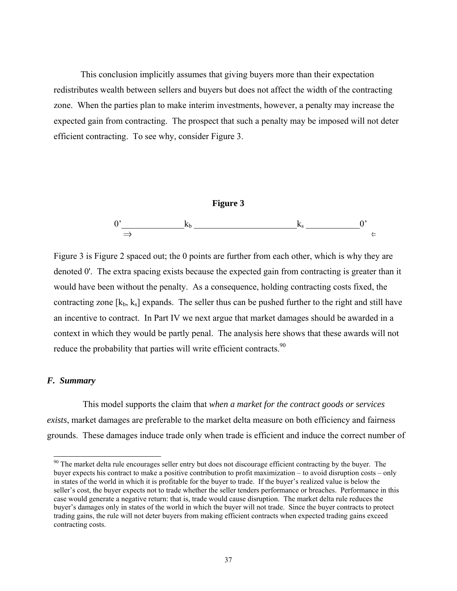This conclusion implicitly assumes that giving buyers more than their expectation redistributes wealth between sellers and buyers but does not affect the width of the contracting zone. When the parties plan to make interim investments, however, a penalty may increase the expected gain from contracting. The prospect that such a penalty may be imposed will not deter efficient contracting. To see why, consider Figure 3.



Figure 3 is Figure 2 spaced out; the 0 points are further from each other, which is why they are denoted 0'. The extra spacing exists because the expected gain from contracting is greater than it would have been without the penalty. As a consequence, holding contracting costs fixed, the contracting zone  $[k_b, k_s]$  expands. The seller thus can be pushed further to the right and still have an incentive to contract. In Part IV we next argue that market damages should be awarded in a context in which they would be partly penal. The analysis here shows that these awards will not reduce the probability that parties will write efficient contracts.<sup>90</sup>

# *F. Summary*

l

 This model supports the claim that *when a market for the contract goods or services exists*, market damages are preferable to the market delta measure on both efficiency and fairness grounds. These damages induce trade only when trade is efficient and induce the correct number of

 $90$  The market delta rule encourages seller entry but does not discourage efficient contracting by the buyer. The buyer expects his contract to make a positive contribution to profit maximization – to avoid disruption costs – only in states of the world in which it is profitable for the buyer to trade. If the buyer's realized value is below the seller's cost, the buyer expects not to trade whether the seller tenders performance or breaches. Performance in this case would generate a negative return: that is, trade would cause disruption. The market delta rule reduces the buyer's damages only in states of the world in which the buyer will not trade. Since the buyer contracts to protect trading gains, the rule will not deter buyers from making efficient contracts when expected trading gains exceed contracting costs.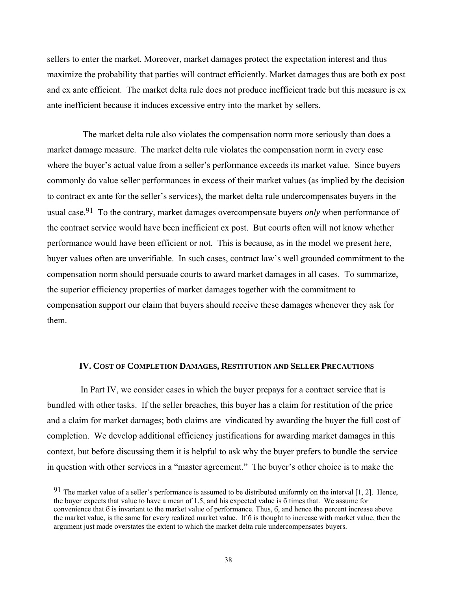sellers to enter the market. Moreover, market damages protect the expectation interest and thus maximize the probability that parties will contract efficiently. Market damages thus are both ex post and ex ante efficient. The market delta rule does not produce inefficient trade but this measure is ex ante inefficient because it induces excessive entry into the market by sellers.

 The market delta rule also violates the compensation norm more seriously than does a market damage measure. The market delta rule violates the compensation norm in every case where the buyer's actual value from a seller's performance exceeds its market value. Since buyers commonly do value seller performances in excess of their market values (as implied by the decision to contract ex ante for the seller's services), the market delta rule undercompensates buyers in the usual case.91 To the contrary, market damages overcompensate buyers *only* when performance of the contract service would have been inefficient ex post. But courts often will not know whether performance would have been efficient or not. This is because, as in the model we present here, buyer values often are unverifiable. In such cases, contract law's well grounded commitment to the compensation norm should persuade courts to award market damages in all cases. To summarize, the superior efficiency properties of market damages together with the commitment to compensation support our claim that buyers should receive these damages whenever they ask for them.

## **IV. COST OF COMPLETION DAMAGES, RESTITUTION AND SELLER PRECAUTIONS**

In Part IV, we consider cases in which the buyer prepays for a contract service that is bundled with other tasks. If the seller breaches, this buyer has a claim for restitution of the price and a claim for market damages; both claims are vindicated by awarding the buyer the full cost of completion. We develop additional efficiency justifications for awarding market damages in this context, but before discussing them it is helpful to ask why the buyer prefers to bundle the service in question with other services in a "master agreement." The buyer's other choice is to make the

 $91$  The market value of a seller's performance is assumed to be distributed uniformly on the interval [1, 2]. Hence, the buyer expects that value to have a mean of 1.5, and his expected value is б times that. We assume for convenience that б is invariant to the market value of performance. Thus, б, and hence the percent increase above the market value, is the same for every realized market value. If б is thought to increase with market value, then the argument just made overstates the extent to which the market delta rule undercompensates buyers.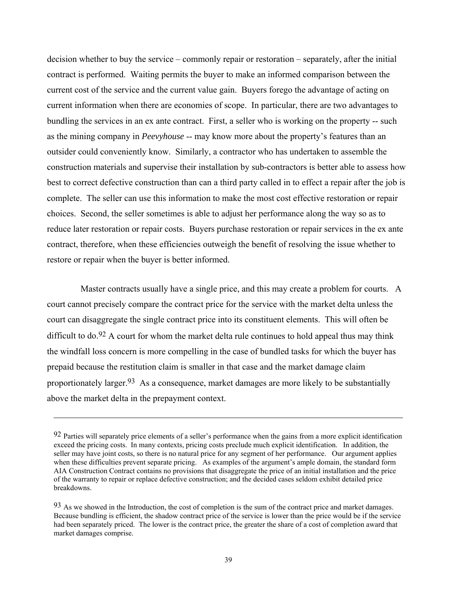decision whether to buy the service – commonly repair or restoration – separately, after the initial contract is performed. Waiting permits the buyer to make an informed comparison between the current cost of the service and the current value gain. Buyers forego the advantage of acting on current information when there are economies of scope. In particular, there are two advantages to bundling the services in an ex ante contract. First, a seller who is working on the property -- such as the mining company in *Peevyhouse* -- may know more about the property's features than an outsider could conveniently know. Similarly, a contractor who has undertaken to assemble the construction materials and supervise their installation by sub-contractors is better able to assess how best to correct defective construction than can a third party called in to effect a repair after the job is complete. The seller can use this information to make the most cost effective restoration or repair choices. Second, the seller sometimes is able to adjust her performance along the way so as to reduce later restoration or repair costs. Buyers purchase restoration or repair services in the ex ante contract, therefore, when these efficiencies outweigh the benefit of resolving the issue whether to restore or repair when the buyer is better informed.

 Master contracts usually have a single price, and this may create a problem for courts. A court cannot precisely compare the contract price for the service with the market delta unless the court can disaggregate the single contract price into its constituent elements. This will often be difficult to do.<sup>92</sup> A court for whom the market delta rule continues to hold appeal thus may think the windfall loss concern is more compelling in the case of bundled tasks for which the buyer has prepaid because the restitution claim is smaller in that case and the market damage claim proportionately larger.93 As a consequence, market damages are more likely to be substantially above the market delta in the prepayment context.

 $92$  Parties will separately price elements of a seller's performance when the gains from a more explicit identification exceed the pricing costs. In many contexts, pricing costs preclude much explicit identification. In addition, the seller may have joint costs, so there is no natural price for any segment of her performance. Our argument applies when these difficulties prevent separate pricing. As examples of the argument's ample domain, the standard form AIA Construction Contract contains no provisions that disaggregate the price of an initial installation and the price of the warranty to repair or replace defective construction; and the decided cases seldom exhibit detailed price breakdowns.

<sup>93</sup> As we showed in the Introduction, the cost of completion is the sum of the contract price and market damages. Because bundling is efficient, the shadow contract price of the service is lower than the price would be if the service had been separately priced. The lower is the contract price, the greater the share of a cost of completion award that market damages comprise.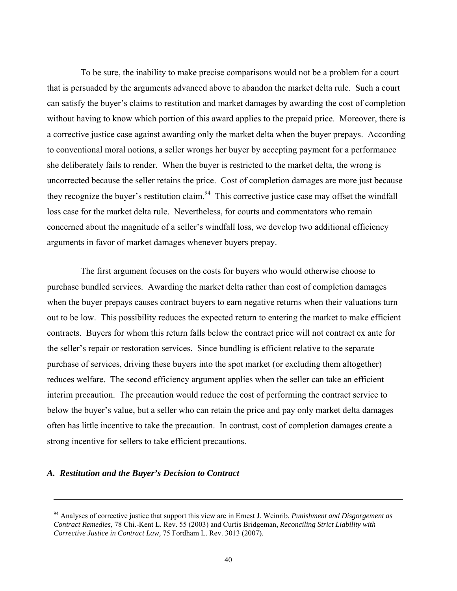To be sure, the inability to make precise comparisons would not be a problem for a court that is persuaded by the arguments advanced above to abandon the market delta rule. Such a court can satisfy the buyer's claims to restitution and market damages by awarding the cost of completion without having to know which portion of this award applies to the prepaid price. Moreover, there is a corrective justice case against awarding only the market delta when the buyer prepays. According to conventional moral notions, a seller wrongs her buyer by accepting payment for a performance she deliberately fails to render. When the buyer is restricted to the market delta, the wrong is uncorrected because the seller retains the price. Cost of completion damages are more just because they recognize the buyer's restitution claim.<sup>94</sup> This corrective justice case may offset the windfall loss case for the market delta rule. Nevertheless, for courts and commentators who remain concerned about the magnitude of a seller's windfall loss, we develop two additional efficiency arguments in favor of market damages whenever buyers prepay.

 The first argument focuses on the costs for buyers who would otherwise choose to purchase bundled services. Awarding the market delta rather than cost of completion damages when the buyer prepays causes contract buyers to earn negative returns when their valuations turn out to be low. This possibility reduces the expected return to entering the market to make efficient contracts. Buyers for whom this return falls below the contract price will not contract ex ante for the seller's repair or restoration services. Since bundling is efficient relative to the separate purchase of services, driving these buyers into the spot market (or excluding them altogether) reduces welfare. The second efficiency argument applies when the seller can take an efficient interim precaution. The precaution would reduce the cost of performing the contract service to below the buyer's value, but a seller who can retain the price and pay only market delta damages often has little incentive to take the precaution. In contrast, cost of completion damages create a strong incentive for sellers to take efficient precautions.

# *A. Restitution and the Buyer's Decision to Contract*

<sup>94</sup> Analyses of corrective justice that support this view are in Ernest J. Weinrib, *Punishment and Disgorgement as Contract Remedies*, 78 Chi.-Kent L. Rev. 55 (2003) and Curtis Bridgeman, *Reconciling Strict Liability with Corrective Justice in Contract Law,* 75 Fordham L. Rev. 3013 (2007).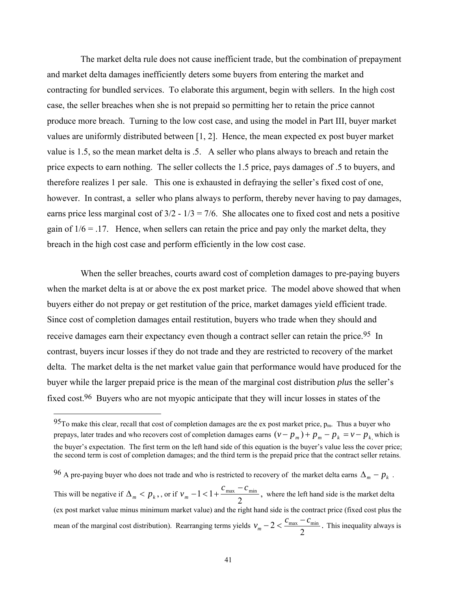The market delta rule does not cause inefficient trade, but the combination of prepayment and market delta damages inefficiently deters some buyers from entering the market and contracting for bundled services. To elaborate this argument, begin with sellers. In the high cost case, the seller breaches when she is not prepaid so permitting her to retain the price cannot produce more breach. Turning to the low cost case, and using the model in Part III, buyer market values are uniformly distributed between [1, 2]. Hence, the mean expected ex post buyer market value is 1.5, so the mean market delta is .5. A seller who plans always to breach and retain the price expects to earn nothing. The seller collects the 1.5 price, pays damages of .5 to buyers, and therefore realizes 1 per sale. This one is exhausted in defraying the seller's fixed cost of one, however. In contrast, a seller who plans always to perform, thereby never having to pay damages, earns price less marginal cost of  $3/2 - 1/3 = 7/6$ . She allocates one to fixed cost and nets a positive gain of  $1/6 = 0.17$ . Hence, when sellers can retain the price and pay only the market delta, they breach in the high cost case and perform efficiently in the low cost case.

 When the seller breaches, courts award cost of completion damages to pre-paying buyers when the market delta is at or above the ex post market price. The model above showed that when buyers either do not prepay or get restitution of the price, market damages yield efficient trade. Since cost of completion damages entail restitution, buyers who trade when they should and receive damages earn their expectancy even though a contract seller can retain the price.<sup>95</sup> In contrast, buyers incur losses if they do not trade and they are restricted to recovery of the market delta. The market delta is the net market value gain that performance would have produced for the buyer while the larger prepaid price is the mean of the marginal cost distribution *plus* the seller's fixed cost.<sup>96</sup> Buyers who are not myopic anticipate that they will incur losses in states of the

 $\overline{a}$ 

96 A pre-paying buyer who does not trade and who is restricted to recovery of the market delta earns  $\Delta_m - p_k$ .

This will be negative if  $\Delta_m < p_k$ ,, or if  $v_m - 1 < 1 + \frac{v_{\text{max}} - v_{\text{min}}}{2}$ ,  $v_m - 1 < 1 + \frac{c_{\text{max}} - c_{\text{min}}}{2}$ , where the left hand side is the market delta (ex post market value minus minimum market value) and the right hand side is the contract price (fixed cost plus the mean of the marginal cost distribution). Rearranging terms yields  $v_m - 2 < \frac{c_{\text{max}} - c_{\text{min}}}{2}$ . This inequality always is

<sup>95</sup>To make this clear, recall that cost of completion damages are the ex post market price,  $p_m$ . Thus a buyer who prepays, later trades and who recovers cost of completion damages earns  $(v - p_m) + p_m - p_k = v - p_k$  which is the buyer's expectation. The first term on the left hand side of this equation is the buyer's value less the cover price; the second term is cost of completion damages; and the third term is the prepaid price that the contract seller retains.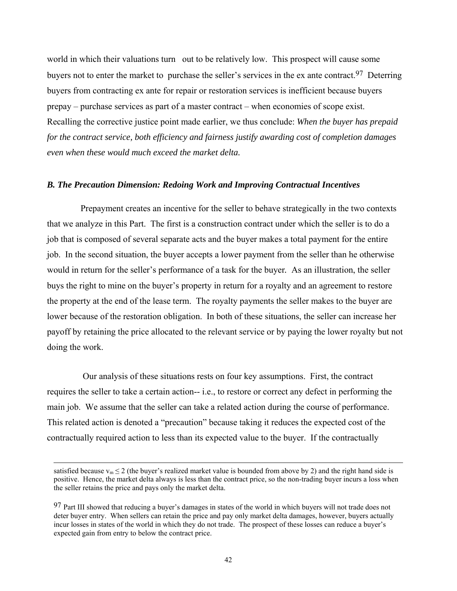world in which their valuations turn out to be relatively low. This prospect will cause some buyers not to enter the market to purchase the seller's services in the ex ante contract.<sup>97</sup> Deterring buyers from contracting ex ante for repair or restoration services is inefficient because buyers prepay – purchase services as part of a master contract – when economies of scope exist. Recalling the corrective justice point made earlier, we thus conclude: *When the buyer has prepaid for the contract service, both efficiency and fairness justify awarding cost of completion damages even when these would much exceed the market delta.*

## *B. The Precaution Dimension: Redoing Work and Improving Contractual Incentives*

 Prepayment creates an incentive for the seller to behave strategically in the two contexts that we analyze in this Part. The first is a construction contract under which the seller is to do a job that is composed of several separate acts and the buyer makes a total payment for the entire job. In the second situation, the buyer accepts a lower payment from the seller than he otherwise would in return for the seller's performance of a task for the buyer*.* As an illustration, the seller buys the right to mine on the buyer's property in return for a royalty and an agreement to restore the property at the end of the lease term. The royalty payments the seller makes to the buyer are lower because of the restoration obligation. In both of these situations, the seller can increase her payoff by retaining the price allocated to the relevant service or by paying the lower royalty but not doing the work.

 Our analysis of these situations rests on four key assumptions. First, the contract requires the seller to take a certain action-- i.e., to restore or correct any defect in performing the main job. We assume that the seller can take a related action during the course of performance. This related action is denoted a "precaution" because taking it reduces the expected cost of the contractually required action to less than its expected value to the buyer. If the contractually

satisfied because  $v_m \le 2$  (the buyer's realized market value is bounded from above by 2) and the right hand side is positive. Hence, the market delta always is less than the contract price, so the non-trading buyer incurs a loss when the seller retains the price and pays only the market delta.

<sup>97</sup> Part III showed that reducing a buyer's damages in states of the world in which buyers will not trade does not deter buyer entry. When sellers can retain the price and pay only market delta damages, however, buyers actually incur losses in states of the world in which they do not trade. The prospect of these losses can reduce a buyer's expected gain from entry to below the contract price.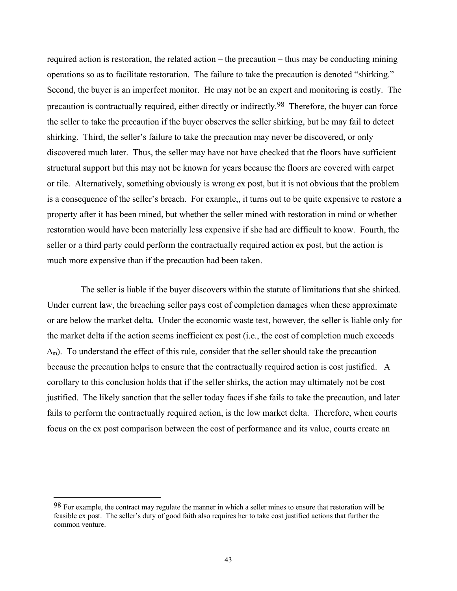required action is restoration, the related action – the precaution – thus may be conducting mining operations so as to facilitate restoration. The failure to take the precaution is denoted "shirking." Second, the buyer is an imperfect monitor. He may not be an expert and monitoring is costly. The precaution is contractually required, either directly or indirectly.98 Therefore, the buyer can force the seller to take the precaution if the buyer observes the seller shirking, but he may fail to detect shirking. Third, the seller's failure to take the precaution may never be discovered, or only discovered much later. Thus, the seller may have not have checked that the floors have sufficient structural support but this may not be known for years because the floors are covered with carpet or tile. Alternatively, something obviously is wrong ex post, but it is not obvious that the problem is a consequence of the seller's breach. For example,, it turns out to be quite expensive to restore a property after it has been mined, but whether the seller mined with restoration in mind or whether restoration would have been materially less expensive if she had are difficult to know. Fourth, the seller or a third party could perform the contractually required action ex post, but the action is much more expensive than if the precaution had been taken.

 The seller is liable if the buyer discovers within the statute of limitations that she shirked. Under current law, the breaching seller pays cost of completion damages when these approximate or are below the market delta. Under the economic waste test, however, the seller is liable only for the market delta if the action seems inefficient ex post (i.e., the cost of completion much exceeds  $\Delta_{\rm m}$ ). To understand the effect of this rule, consider that the seller should take the precaution because the precaution helps to ensure that the contractually required action is cost justified. A corollary to this conclusion holds that if the seller shirks, the action may ultimately not be cost justified. The likely sanction that the seller today faces if she fails to take the precaution, and later fails to perform the contractually required action, is the low market delta. Therefore, when courts focus on the ex post comparison between the cost of performance and its value, courts create an

<sup>98</sup> For example, the contract may regulate the manner in which a seller mines to ensure that restoration will be feasible ex post. The seller's duty of good faith also requires her to take cost justified actions that further the common venture.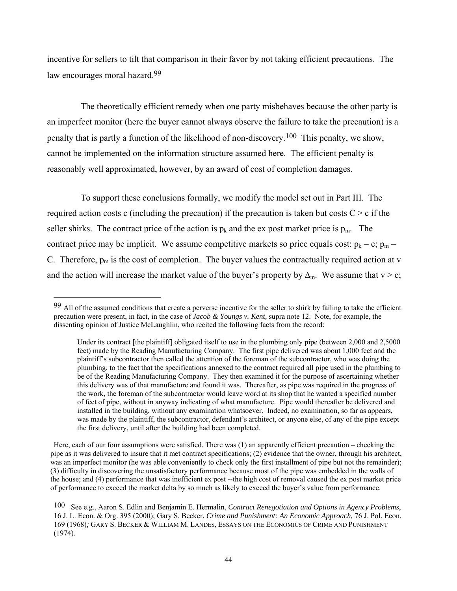incentive for sellers to tilt that comparison in their favor by not taking efficient precautions. The law encourages moral hazard.<sup>99</sup>

 The theoretically efficient remedy when one party misbehaves because the other party is an imperfect monitor (here the buyer cannot always observe the failure to take the precaution) is a penalty that is partly a function of the likelihood of non-discovery.100 This penalty, we show, cannot be implemented on the information structure assumed here. The efficient penalty is reasonably well approximated, however, by an award of cost of completion damages.

 To support these conclusions formally, we modify the model set out in Part III. The required action costs c (including the precaution) if the precaution is taken but costs  $C > c$  if the seller shirks. The contract price of the action is  $p_k$  and the ex post market price is  $p_m$ . The contract price may be implicit. We assume competitive markets so price equals cost:  $p_k = c$ ;  $p_m =$ C. Therefore,  $p_m$  is the cost of completion. The buyer values the contractually required action at v and the action will increase the market value of the buyer's property by  $\Delta_{m}$ . We assume that v > c;

 $\overline{a}$ 

Here, each of our four assumptions were satisfied. There was (1) an apparently efficient precaution – checking the pipe as it was delivered to insure that it met contract specifications; (2) evidence that the owner, through his architect, was an imperfect monitor (he was able conveniently to check only the first installment of pipe but not the remainder); (3) difficulty in discovering the unsatisfactory performance because most of the pipe was embedded in the walls of the house; and (4) performance that was inefficient ex post --the high cost of removal caused the ex post market price of performance to exceed the market delta by so much as likely to exceed the buyer's value from performance.

<sup>99</sup> All of the assumed conditions that create a perverse incentive for the seller to shirk by failing to take the efficient precaution were present, in fact, in the case of *Jacob & Youngs v. Kent,* supra note 12. Note, for example, the dissenting opinion of Justice McLaughlin, who recited the following facts from the record:

Under its contract [the plaintiff] obligated itself to use in the plumbing only pipe (between 2,000 and 2,5000 feet) made by the Reading Manufacturing Company. The first pipe delivered was about 1,000 feet and the plaintiff's subcontractor then called the attention of the foreman of the subcontractor, who was doing the plumbing, to the fact that the specifications annexed to the contract required all pipe used in the plumbing to be of the Reading Manufacturing Company. They then examined it for the purpose of ascertaining whether this delivery was of that manufacture and found it was. Thereafter, as pipe was required in the progress of the work, the foreman of the subcontractor would leave word at its shop that he wanted a specified number of feet of pipe, without in anyway indicating of what manufacture. Pipe would thereafter be delivered and installed in the building, without any examination whatsoever. Indeed, no examination, so far as appears, was made by the plaintiff, the subcontractor, defendant's architect, or anyone else, of any of the pipe except the first delivery, until after the building had been completed.

<sup>100</sup> See e.g., Aaron S. Edlin and Benjamin E. Hermalin, *Contract Renegotiation and Options in Agency Problems*, 16 J. L. Econ. & Org. 395 (2000); Gary S. Becker, *Crime and Punishment: An Economic Approach,* 76 J. Pol. Econ. 169 (1968)*;* GARY S. BECKER & WILLIAM M. LANDES, ESSAYS ON THE ECONOMICS OF CRIME AND PUNISHMENT (1974).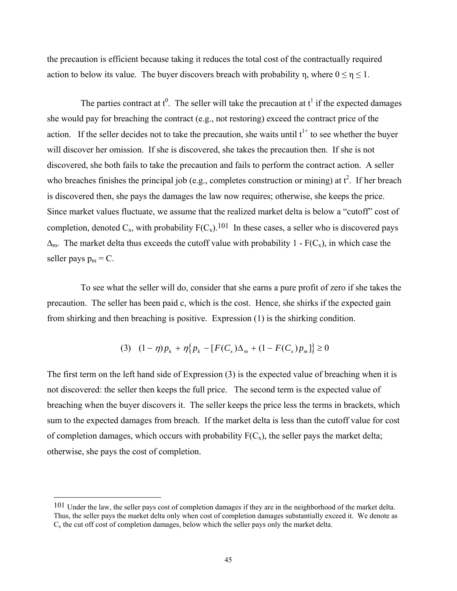the precaution is efficient because taking it reduces the total cost of the contractually required action to below its value. The buyer discovers breach with probability n, where  $0 \le n \le 1$ .

The parties contract at  $t^0$ . The seller will take the precaution at  $t^1$  if the expected damages she would pay for breaching the contract (e.g., not restoring) exceed the contract price of the action. If the seller decides not to take the precaution, she waits until  $t^{1+}$  to see whether the buyer will discover her omission. If she is discovered, she takes the precaution then. If she is not discovered, she both fails to take the precaution and fails to perform the contract action. A seller who breaches finishes the principal job (e.g., completes construction or mining) at  $t^2$ . If her breach is discovered then, she pays the damages the law now requires; otherwise, she keeps the price. Since market values fluctuate, we assume that the realized market delta is below a "cutoff" cost of completion, denoted  $C_x$ , with probability  $F(C_x)$ .<sup>101</sup> In these cases, a seller who is discovered pays  $\Delta_{\rm m}$ . The market delta thus exceeds the cutoff value with probability 1 - F(C<sub>x</sub>), in which case the seller pays  $p_m = C$ .

 To see what the seller will do, consider that she earns a pure profit of zero if she takes the precaution. The seller has been paid c, which is the cost. Hence, she shirks if the expected gain from shirking and then breaching is positive. Expression (1) is the shirking condition.

$$
(3) \quad (1 - \eta)p_k + \eta \{ p_k - [F(C_x)\Delta_m + (1 - F(C_x)p_m] \} \ge 0
$$

The first term on the left hand side of Expression (3) is the expected value of breaching when it is not discovered: the seller then keeps the full price. The second term is the expected value of breaching when the buyer discovers it. The seller keeps the price less the terms in brackets, which sum to the expected damages from breach. If the market delta is less than the cutoff value for cost of completion damages, which occurs with probability  $F(C_x)$ , the seller pays the market delta; otherwise, she pays the cost of completion.

<sup>101</sup> Under the law, the seller pays cost of completion damages if they are in the neighborhood of the market delta. Thus, the seller pays the market delta only when cost of completion damages substantially exceed it. We denote as  $C_x$  the cut off cost of completion damages, below which the seller pays only the market delta.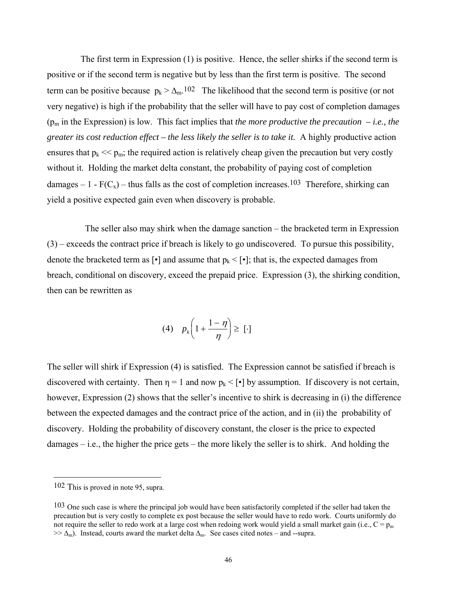The first term in Expression (1) is positive. Hence, the seller shirks if the second term is positive or if the second term is negative but by less than the first term is positive. The second term can be positive because  $p_k > \Delta_m$ .<sup>102</sup> The likelihood that the second term is positive (or not very negative) is high if the probability that the seller will have to pay cost of completion damages  $(p_m$  in the Expression) is low. This fact implies that *the more productive the precaution – i.e., the greater its cost reduction effect – the less likely the seller is to take it.* A highly productive action ensures that  $p_k \ll p_m$ ; the required action is relatively cheap given the precaution but very costly without it. Holding the market delta constant, the probability of paying cost of completion damages – 1 -  $F(C_x)$  – thus falls as the cost of completion increases.<sup>103</sup> Therefore, shirking can yield a positive expected gain even when discovery is probable.

 The seller also may shirk when the damage sanction – the bracketed term in Expression (3) – exceeds the contract price if breach is likely to go undiscovered. To pursue this possibility, denote the bracketed term as  $\lceil \cdot \rceil$  and assume that  $p_k < \lceil \cdot \rceil$ ; that is, the expected damages from breach, conditional on discovery, exceed the prepaid price. Expression (3), the shirking condition, then can be rewritten as

$$
(4) \quad p_k\bigg(1+\frac{1-\eta}{\eta}\bigg)\geq [\cdot]
$$

The seller will shirk if Expression (4) is satisfied. The Expression cannot be satisfied if breach is discovered with certainty. Then  $\eta = 1$  and now  $p_k < \lceil \cdot \rceil$  by assumption. If discovery is not certain, however, Expression (2) shows that the seller's incentive to shirk is decreasing in (i) the difference between the expected damages and the contract price of the action, and in (ii) the probability of discovery. Holding the probability of discovery constant, the closer is the price to expected damages – i.e., the higher the price gets – the more likely the seller is to shirk. And holding the

<sup>102</sup> This is proved in note 95, supra.

<sup>103</sup> One such case is where the principal job would have been satisfactorily completed if the seller had taken the precaution but is very costly to complete ex post because the seller would have to redo work. Courts uniformly do not require the seller to redo work at a large cost when redoing work would yield a small market gain (i.e.,  $C = p_m$ )  $\gg \Delta_m$ ). Instead, courts award the market delta  $\Delta_m$ . See cases cited notes – and --supra.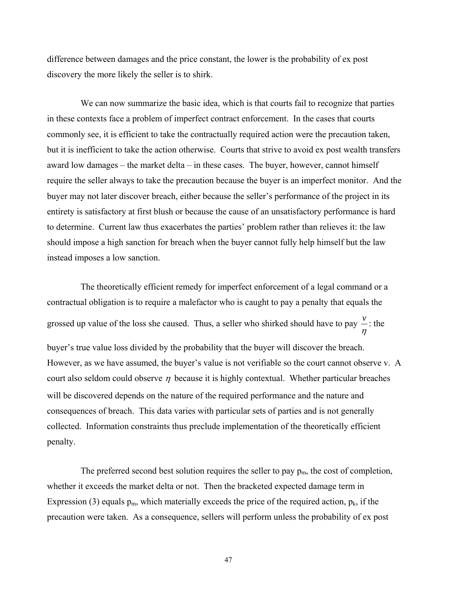difference between damages and the price constant, the lower is the probability of ex post discovery the more likely the seller is to shirk.

 We can now summarize the basic idea, which is that courts fail to recognize that parties in these contexts face a problem of imperfect contract enforcement. In the cases that courts commonly see, it is efficient to take the contractually required action were the precaution taken, but it is inefficient to take the action otherwise. Courts that strive to avoid ex post wealth transfers award low damages – the market delta – in these cases. The buyer, however, cannot himself require the seller always to take the precaution because the buyer is an imperfect monitor. And the buyer may not later discover breach, either because the seller's performance of the project in its entirety is satisfactory at first blush or because the cause of an unsatisfactory performance is hard to determine. Current law thus exacerbates the parties' problem rather than relieves it: the law should impose a high sanction for breach when the buyer cannot fully help himself but the law instead imposes a low sanction.

 The theoretically efficient remedy for imperfect enforcement of a legal command or a contractual obligation is to require a malefactor who is caught to pay a penalty that equals the grossed up value of the loss she caused. Thus, a seller who shirked should have to pay η  $\frac{v}{v}$ : the buyer's true value loss divided by the probability that the buyer will discover the breach. However, as we have assumed, the buyer's value is not verifiable so the court cannot observe v. A court also seldom could observe  $\eta$  because it is highly contextual. Whether particular breaches will be discovered depends on the nature of the required performance and the nature and consequences of breach. This data varies with particular sets of parties and is not generally collected. Information constraints thus preclude implementation of the theoretically efficient penalty.

The preferred second best solution requires the seller to pay  $p_m$ , the cost of completion, whether it exceeds the market delta or not. Then the bracketed expected damage term in Expression (3) equals  $p_m$ , which materially exceeds the price of the required action,  $p_k$ , if the precaution were taken. As a consequence, sellers will perform unless the probability of ex post

47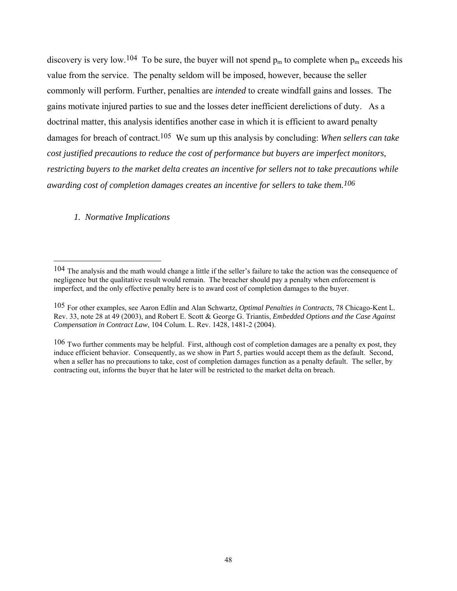discovery is very low.<sup>104</sup> To be sure, the buyer will not spend  $p_m$  to complete when  $p_m$  exceeds his value from the service. The penalty seldom will be imposed, however, because the seller commonly will perform. Further, penalties are *intended* to create windfall gains and losses. The gains motivate injured parties to sue and the losses deter inefficient derelictions of duty. As a doctrinal matter, this analysis identifies another case in which it is efficient to award penalty damages for breach of contract.105 We sum up this analysis by concluding: *When sellers can take cost justified precautions to reduce the cost of performance but buyers are imperfect monitors, restricting buyers to the market delta creates an incentive for sellers not to take precautions while awarding cost of completion damages creates an incentive for sellers to take them.106*

## *1. Normative Implications*

<sup>104</sup> The analysis and the math would change a little if the seller's failure to take the action was the consequence of negligence but the qualitative result would remain. The breacher should pay a penalty when enforcement is imperfect, and the only effective penalty here is to award cost of completion damages to the buyer.

<sup>105</sup> For other examples, see Aaron Edlin and Alan Schwartz, *Optimal Penalties in Contracts*, 78 Chicago-Kent L. Rev. 33, note 28 at 49 (2003), and Robert E. Scott & George G. Triantis, *Embedded Options and the Case Against Compensation in Contract Law*, 104 Colum. L. Rev. 1428, 1481-2 (2004).

 $106$  Two further comments may be helpful. First, although cost of completion damages are a penalty ex post, they induce efficient behavior. Consequently, as we show in Part 5, parties would accept them as the default. Second, when a seller has no precautions to take, cost of completion damages function as a penalty default. The seller, by contracting out, informs the buyer that he later will be restricted to the market delta on breach.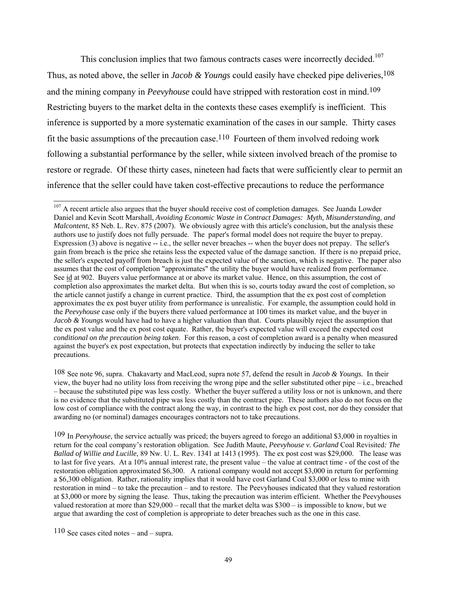This conclusion implies that two famous contracts cases were incorrectly decided.<sup>107</sup> Thus, as noted above, the seller in *Jacob & Youngs* could easily have checked pipe deliveries, <sup>108</sup> and the mining company in *Peevyhouse* could have stripped with restoration cost in mind.<sup>109</sup> Restricting buyers to the market delta in the contexts these cases exemplify is inefficient. This inference is supported by a more systematic examination of the cases in our sample. Thirty cases fit the basic assumptions of the precaution case.<sup>110</sup> Fourteen of them involved redoing work following a substantial performance by the seller, while sixteen involved breach of the promise to restore or regrade. Of these thirty cases, nineteen had facts that were sufficiently clear to permit an inference that the seller could have taken cost-effective precautions to reduce the performance

 $\overline{a}$ <sup>107</sup> A recent article also argues that the buyer should receive cost of completion damages. See Juanda Lowder Daniel and Kevin Scott Marshall, *Avoiding Economic Waste in Contract Damages: Myth, Misunderstanding, and Malcontent*, 85 Neb. L. Rev. 875 (2007). We obviously agree with this article's conclusion, but the analysis these authors use to justify does not fully persuade. The paper's formal model does not require the buyer to prepay. Expression (3) above is negative -- i.e., the seller never breaches -- when the buyer does not prepay. The seller's gain from breach is the price she retains less the expected value of the damage sanction. If there is no prepaid price, the seller's expected payoff from breach is just the expected value of the sanction, which is negative. The paper also assumes that the cost of completion "approximates" the utility the buyer would have realized from performance. See id at 902. Buyers value performance at or above its market value. Hence, on this assumption, the cost of completion also approximates the market delta. But when this is so, courts today award the cost of completion, so the article cannot justify a change in current practice. Third, the assumption that the ex post cost of completion approximates the ex post buyer utility from performance is unrealistic. For example, the assumption could hold in the *Peevyhouse* case only if the buyers there valued performance at 100 times its market value, and the buyer in *Jacob & Youngs* would have had to have a higher valuation than that. Courts plausibly reject the assumption that the ex post value and the ex post cost equate. Rather, the buyer's expected value will exceed the expected cost *conditional on the precaution being taken*. For this reason, a cost of completion award is a penalty when measured against the buyer's ex post expectation, but protects that expectation indirectly by inducing the seller to take precautions.

<sup>108</sup> See note 96, supra. Chakavarty and MacLeod, supra note 57, defend the result in *Jacob & Youngs.* In their view, the buyer had no utility loss from receiving the wrong pipe and the seller substituted other pipe – i.e., breached – because the substituted pipe was less costly. Whether the buyer suffered a utility loss or not is unknown, and there is no evidence that the substituted pipe was less costly than the contract pipe. These authors also do not focus on the low cost of compliance with the contract along the way, in contrast to the high ex post cost, nor do they consider that awarding no (or nominal) damages encourages contractors not to take precautions.

<sup>109</sup> In *Peevyhouse*, the service actually was priced; the buyers agreed to forego an additional \$3,000 in royalties in return for the coal company's restoration obligation. See Judith Maute, *Peevyhouse v. Garland* Coal Revisited*: The Ballad of Willie and Lucille*, 89 Nw. U. L. Rev. 1341 at 1413 (1995). The ex post cost was \$29,000. The lease was to last for five years. At a 10% annual interest rate, the present value – the value at contract time - of the cost of the restoration obligation approximated \$6,300. A rational company would not accept \$3,000 in return for performing a \$6,300 obligation. Rather, rationality implies that it would have cost Garland Coal \$3,000 or less to mine with restoration in mind – to take the precaution – and to restore. The Peevyhouses indicated that they valued restoration at \$3,000 or more by signing the lease. Thus, taking the precaution was interim efficient. Whether the Peevyhouses valued restoration at more than \$29,000 – recall that the market delta was \$300 – is impossible to know, but we argue that awarding the cost of completion is appropriate to deter breaches such as the one in this case.

<sup>110</sup> See cases cited notes – and – supra.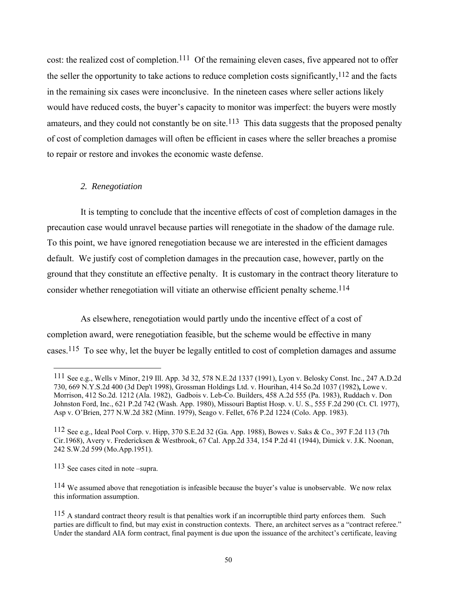cost: the realized cost of completion.<sup>111</sup> Of the remaining eleven cases, five appeared not to offer the seller the opportunity to take actions to reduce completion costs significantly,  $^{112}$  and the facts in the remaining six cases were inconclusive. In the nineteen cases where seller actions likely would have reduced costs, the buyer's capacity to monitor was imperfect: the buyers were mostly amateurs, and they could not constantly be on site.<sup>113</sup> This data suggests that the proposed penalty of cost of completion damages will often be efficient in cases where the seller breaches a promise to repair or restore and invokes the economic waste defense.

## *2. Renegotiation*

 It is tempting to conclude that the incentive effects of cost of completion damages in the precaution case would unravel because parties will renegotiate in the shadow of the damage rule. To this point, we have ignored renegotiation because we are interested in the efficient damages default. We justify cost of completion damages in the precaution case, however, partly on the ground that they constitute an effective penalty. It is customary in the contract theory literature to consider whether renegotiation will vitiate an otherwise efficient penalty scheme.<sup>114</sup>

 As elsewhere, renegotiation would partly undo the incentive effect of a cost of completion award, were renegotiation feasible, but the scheme would be effective in many cases.115 To see why, let the buyer be legally entitled to cost of completion damages and assume

<sup>111</sup> See e.g., Wells v Minor, 219 Ill. App. 3d 32, 578 N.E.2d 1337 (1991), Lyon v. Belosky Const. Inc., 247 A.D.2d 730, 669 N.Y.S.2d 400 (3d Dep't 1998), Grossman Holdings Ltd. v. Hourihan, 414 So.2d 1037 (1982)**,** Lowe v. Morrison, 412 So.2d. 1212 (Ala. 1982),Gadbois v. Leb-Co. Builders, 458 A.2d 555 (Pa. 1983), Ruddach v. Don Johnston Ford, Inc., 621 P.2d 742 (Wash. App. 1980), Missouri Baptist Hosp. v. U. S., 555 F.2d 290 (Ct. Cl. 1977), Asp v. O'Brien, 277 N.W.2d 382 (Minn. 1979), Seago v. Fellet, 676 P.2d 1224 (Colo. App. 1983).

<sup>112</sup> See e.g., Ideal Pool Corp. v. Hipp, 370 S.E.2d 32 (Ga. App. 1988), Bowes v. Saks & Co., 397 F.2d 113 (7th Cir.1968), Avery v. Fredericksen & Westbrook, 67 Cal. App.2d 334, 154 P.2d 41 (1944), Dimick v. J.K. Noonan, 242 S.W.2d 599 (Mo.App.1951).

<sup>113</sup> See cases cited in note –supra.

<sup>114</sup> We assumed above that renegotiation is infeasible because the buyer's value is unobservable. We now relax this information assumption.

<sup>&</sup>lt;sup>115</sup> A standard contract theory result is that penalties work if an incorruptible third party enforces them. Such parties are difficult to find, but may exist in construction contexts. There, an architect serves as a "contract referee." Under the standard AIA form contract, final payment is due upon the issuance of the architect's certificate, leaving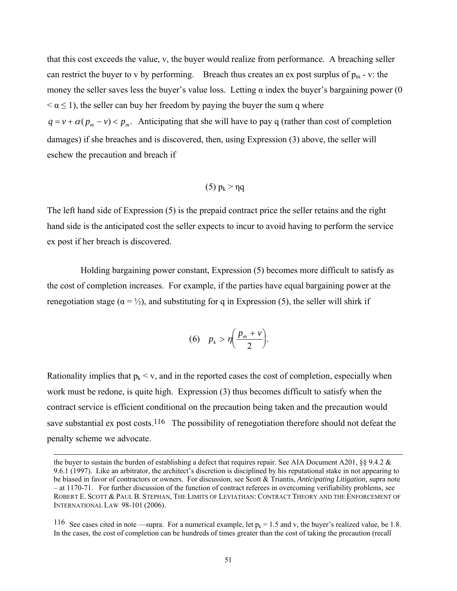that this cost exceeds the value, v, the buyer would realize from performance. A breaching seller can restrict the buyer to v by performing. Breach thus creates an ex post surplus of  $p_m$  - v: the money the seller saves less the buyer's value loss. Letting  $\alpha$  index the buyer's bargaining power (0)  $\alpha \leq 1$ , the seller can buy her freedom by paying the buyer the sum q where  $q = v + \alpha ( p_m - v ) < p_m$ . Anticipating that she will have to pay q (rather than cost of completion damages) if she breaches and is discovered, then, using Expression (3) above, the seller will eschew the precaution and breach if

$$
(5) p_k > \eta q
$$

The left hand side of Expression (5) is the prepaid contract price the seller retains and the right hand side is the anticipated cost the seller expects to incur to avoid having to perform the service ex post if her breach is discovered.

 Holding bargaining power constant, Expression (5) becomes more difficult to satisfy as the cost of completion increases. For example, if the parties have equal bargaining power at the renegotiation stage ( $\alpha = \frac{1}{2}$ ), and substituting for q in Expression (5), the seller will shirk if

$$
(6) \quad p_k > \eta \bigg( \frac{p_m + v}{2} \bigg).
$$

Rationality implies that  $p_k < v$ , and in the reported cases the cost of completion, especially when work must be redone, is quite high. Expression (3) thus becomes difficult to satisfy when the contract service is efficient conditional on the precaution being taken and the precaution would save substantial ex post costs.<sup>116</sup> The possibility of renegotiation therefore should not defeat the penalty scheme we advocate.

l

the buyer to sustain the burden of establishing a defect that requires repair. See AIA Document A201,  $\S$ § 9.4.2  $\&$ 9.6.1 (1997). Like an arbitrator, the architect's discretion is disciplined by his reputational stake in not appearing to be biased in favor of contractors or owners. For discussion, see Scott & Triantis, *Anticipating Litigation,* supra note – at 1170-71.For further discussion of the function of contract referees in overcoming verifiability problems, see ROBERT E. SCOTT & PAUL B. STEPHAN, THE LIMITS OF LEVIATHAN: CONTRACT THEORY AND THE ENFORCEMENT OF INTERNATIONAL LAW 98-101 (2006).

<sup>116</sup> See cases cited in note —supra. For a numerical example, let  $p_k = 1.5$  and v, the buyer's realized value, be 1.8. In the cases, the cost of completion can be hundreds of times greater than the cost of taking the precaution (recall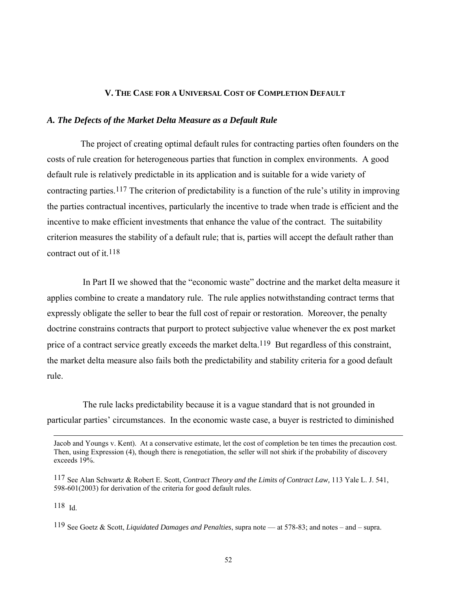## **V. THE CASE FOR A UNIVERSAL COST OF COMPLETION DEFAULT**

## *A. The Defects of the Market Delta Measure as a Default Rule*

 The project of creating optimal default rules for contracting parties often founders on the costs of rule creation for heterogeneous parties that function in complex environments. A good default rule is relatively predictable in its application and is suitable for a wide variety of contracting parties.<sup>117</sup> The criterion of predictability is a function of the rule's utility in improving the parties contractual incentives, particularly the incentive to trade when trade is efficient and the incentive to make efficient investments that enhance the value of the contract. The suitability criterion measures the stability of a default rule; that is, parties will accept the default rather than contract out of it.  $118$ 

 In Part II we showed that the "economic waste" doctrine and the market delta measure it applies combine to create a mandatory rule. The rule applies notwithstanding contract terms that expressly obligate the seller to bear the full cost of repair or restoration. Moreover, the penalty doctrine constrains contracts that purport to protect subjective value whenever the ex post market price of a contract service greatly exceeds the market delta.<sup>119</sup> But regardless of this constraint, the market delta measure also fails both the predictability and stability criteria for a good default rule.

 The rule lacks predictability because it is a vague standard that is not grounded in particular parties' circumstances. In the economic waste case, a buyer is restricted to diminished

118 Id.

Jacob and Youngs v. Kent). At a conservative estimate, let the cost of completion be ten times the precaution cost. Then, using Expression (4), though there is renegotiation, the seller will not shirk if the probability of discovery exceeds 19%.

<sup>117</sup> See Alan Schwartz & Robert E. Scott, *Contract Theory and the Limits of Contract Law,* 113 Yale L. J. 541, 598-601(2003) for derivation of the criteria for good default rules.

<sup>119</sup> See Goetz & Scott, *Liquidated Damages and Penalties*, supra note — at 578-83; and notes – and – supra.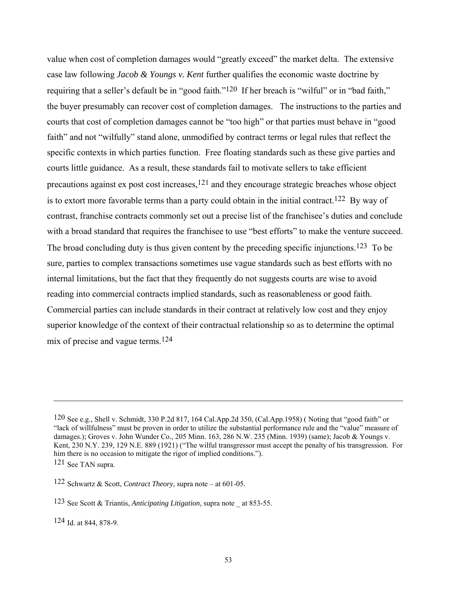value when cost of completion damages would "greatly exceed" the market delta. The extensive case law following *Jacob & Youngs v. Kent* further qualifies the economic waste doctrine by requiring that a seller's default be in "good faith."<sup>120</sup> If her breach is "wilful" or in "bad faith." the buyer presumably can recover cost of completion damages. The instructions to the parties and courts that cost of completion damages cannot be "too high" or that parties must behave in "good faith" and not "wilfully" stand alone, unmodified by contract terms or legal rules that reflect the specific contexts in which parties function. Free floating standards such as these give parties and courts little guidance. As a result, these standards fail to motivate sellers to take efficient precautions against ex post cost increases, $121$  and they encourage strategic breaches whose object is to extort more favorable terms than a party could obtain in the initial contract.<sup>122</sup> By way of contrast, franchise contracts commonly set out a precise list of the franchisee's duties and conclude with a broad standard that requires the franchisee to use "best efforts" to make the venture succeed. The broad concluding duty is thus given content by the preceding specific injunctions.<sup>123</sup> To be sure, parties to complex transactions sometimes use vague standards such as best efforts with no internal limitations, but the fact that they frequently do not suggests courts are wise to avoid reading into commercial contracts implied standards, such as reasonableness or good faith. Commercial parties can include standards in their contract at relatively low cost and they enjoy superior knowledge of the context of their contractual relationship so as to determine the optimal mix of precise and vague terms.124

<sup>120</sup> See e.g., Shell v. Schmidt, 330 P.2d 817, 164 Cal.App.2d 350, (Cal.App.1958) ( Noting that "good faith" or "lack of willfulness" must be proven in order to utilize the substantial performance rule and the "value" measure of damages.); Groves v. John Wunder Co., 205 Minn. 163, 286 N.W. 235 (Minn. 1939) (same); Jacob & Youngs v. Kent, 230 N.Y. 239, 129 N.E. 889 (1921) ("The wilful transgressor must accept the penalty of his transgression. For him there is no occasion to mitigate the rigor of implied conditions."). 121 See TAN supra.

<sup>122</sup> Schwartz & Scott, *Contract Theory*, supra note – at 601-05.

<sup>123</sup> See Scott & Triantis, *Anticipating Litigation,* supra note \_ at 853-55.

<sup>124</sup> Id. at 844, 878-9.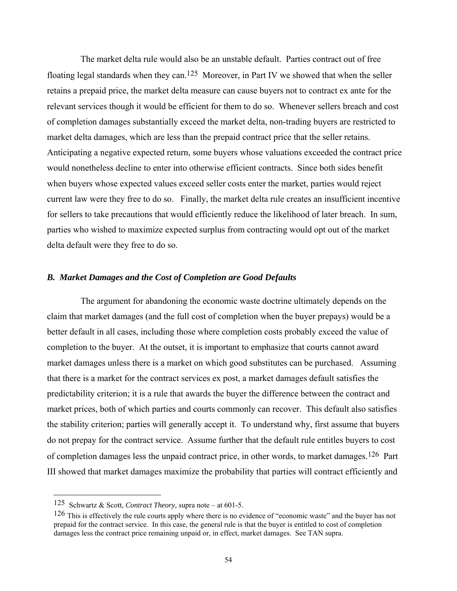The market delta rule would also be an unstable default. Parties contract out of free floating legal standards when they can.<sup>125</sup> Moreover, in Part IV we showed that when the seller retains a prepaid price, the market delta measure can cause buyers not to contract ex ante for the relevant services though it would be efficient for them to do so. Whenever sellers breach and cost of completion damages substantially exceed the market delta, non-trading buyers are restricted to market delta damages, which are less than the prepaid contract price that the seller retains. Anticipating a negative expected return, some buyers whose valuations exceeded the contract price would nonetheless decline to enter into otherwise efficient contracts. Since both sides benefit when buyers whose expected values exceed seller costs enter the market, parties would reject current law were they free to do so. Finally, the market delta rule creates an insufficient incentive for sellers to take precautions that would efficiently reduce the likelihood of later breach. In sum, parties who wished to maximize expected surplus from contracting would opt out of the market delta default were they free to do so.

## *B. Market Damages and the Cost of Completion are Good Defaults*

 The argument for abandoning the economic waste doctrine ultimately depends on the claim that market damages (and the full cost of completion when the buyer prepays) would be a better default in all cases, including those where completion costs probably exceed the value of completion to the buyer. At the outset, it is important to emphasize that courts cannot award market damages unless there is a market on which good substitutes can be purchased. Assuming that there is a market for the contract services ex post, a market damages default satisfies the predictability criterion; it is a rule that awards the buyer the difference between the contract and market prices, both of which parties and courts commonly can recover. This default also satisfies the stability criterion; parties will generally accept it. To understand why, first assume that buyers do not prepay for the contract service. Assume further that the default rule entitles buyers to cost of completion damages less the unpaid contract price, in other words, to market damages.<sup>126</sup> Part III showed that market damages maximize the probability that parties will contract efficiently and

<sup>125</sup> Schwartz & Scott, *Contract Theory*, supra note – at 601-5.

<sup>126</sup> This is effectively the rule courts apply where there is no evidence of "economic waste" and the buyer has not prepaid for the contract service. In this case, the general rule is that the buyer is entitled to cost of completion damages less the contract price remaining unpaid or, in effect, market damages. See TAN supra.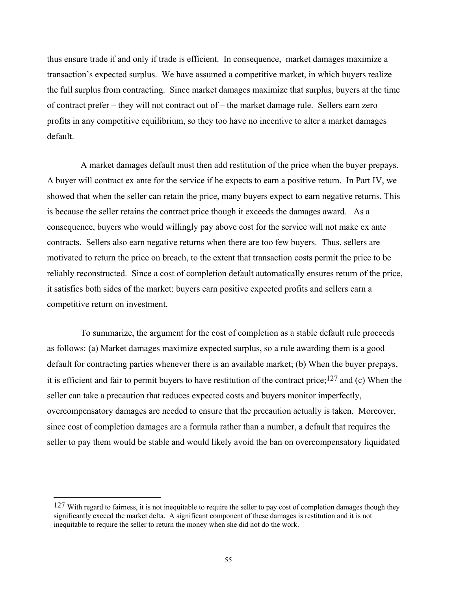thus ensure trade if and only if trade is efficient. In consequence, market damages maximize a transaction's expected surplus. We have assumed a competitive market, in which buyers realize the full surplus from contracting. Since market damages maximize that surplus, buyers at the time of contract prefer – they will not contract out of – the market damage rule. Sellers earn zero profits in any competitive equilibrium, so they too have no incentive to alter a market damages default.

 A market damages default must then add restitution of the price when the buyer prepays. A buyer will contract ex ante for the service if he expects to earn a positive return. In Part IV, we showed that when the seller can retain the price, many buyers expect to earn negative returns. This is because the seller retains the contract price though it exceeds the damages award. As a consequence, buyers who would willingly pay above cost for the service will not make ex ante contracts. Sellers also earn negative returns when there are too few buyers. Thus, sellers are motivated to return the price on breach, to the extent that transaction costs permit the price to be reliably reconstructed. Since a cost of completion default automatically ensures return of the price, it satisfies both sides of the market: buyers earn positive expected profits and sellers earn a competitive return on investment.

 To summarize, the argument for the cost of completion as a stable default rule proceeds as follows: (a) Market damages maximize expected surplus, so a rule awarding them is a good default for contracting parties whenever there is an available market; (b) When the buyer prepays, it is efficient and fair to permit buyers to have restitution of the contract price;<sup>127</sup> and (c) When the seller can take a precaution that reduces expected costs and buyers monitor imperfectly, overcompensatory damages are needed to ensure that the precaution actually is taken. Moreover, since cost of completion damages are a formula rather than a number, a default that requires the seller to pay them would be stable and would likely avoid the ban on overcompensatory liquidated

 $127$  With regard to fairness, it is not inequitable to require the seller to pay cost of completion damages though they significantly exceed the market delta. A significant component of these damages is restitution and it is not inequitable to require the seller to return the money when she did not do the work.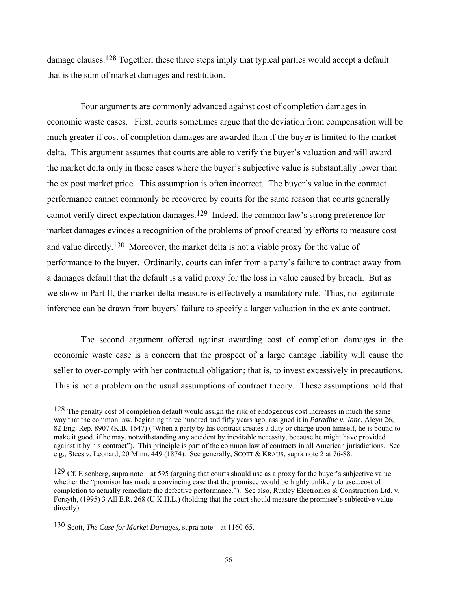damage clauses.<sup>128</sup> Together, these three steps imply that typical parties would accept a default that is the sum of market damages and restitution.

 Four arguments are commonly advanced against cost of completion damages in economic waste cases. First, courts sometimes argue that the deviation from compensation will be much greater if cost of completion damages are awarded than if the buyer is limited to the market delta. This argument assumes that courts are able to verify the buyer's valuation and will award the market delta only in those cases where the buyer's subjective value is substantially lower than the ex post market price. This assumption is often incorrect. The buyer's value in the contract performance cannot commonly be recovered by courts for the same reason that courts generally cannot verify direct expectation damages.129 Indeed, the common law's strong preference for market damages evinces a recognition of the problems of proof created by efforts to measure cost and value directly.<sup>130</sup> Moreover, the market delta is not a viable proxy for the value of performance to the buyer. Ordinarily, courts can infer from a party's failure to contract away from a damages default that the default is a valid proxy for the loss in value caused by breach. But as we show in Part II, the market delta measure is effectively a mandatory rule. Thus, no legitimate inference can be drawn from buyers' failure to specify a larger valuation in the ex ante contract.

 The second argument offered against awarding cost of completion damages in the economic waste case is a concern that the prospect of a large damage liability will cause the seller to over-comply with her contractual obligation; that is, to invest excessively in precautions. This is not a problem on the usual assumptions of contract theory. These assumptions hold that

<sup>128</sup> The penalty cost of completion default would assign the risk of endogenous cost increases in much the same way that the common law, beginning three hundred and fifty years ago, assigned it in *Paradine v. Jane*, Aleyn 26, 82 Eng. Rep. 8907 (K.B. 1647) ("When a party by his contract creates a duty or charge upon himself, he is bound to make it good, if he may, notwithstanding any accident by inevitable necessity, because he might have provided against it by his contract"). This principle is part of the common law of contracts in all American jurisdictions. See e.g., Stees v. Leonard, 20 Minn. 449 (1874). See generally, SCOTT & KRAUS, supra note 2 at 76-88.

<sup>129</sup> Cf. Eisenberg, supra note – at 595 (arguing that courts should use as a proxy for the buyer's subjective value whether the "promisor has made a convincing case that the promisee would be highly unlikely to use...cost of completion to actually remediate the defective performance."). See also, Ruxley Electronics & Construction Ltd. v. Forsyth, (1995) 3 All E.R. 268 (U.K.H.L.) (holding that the court should measure the promisee's subjective value directly).

<sup>130</sup> Scott, *The Case for Market Damages,* supra note – at 1160-65.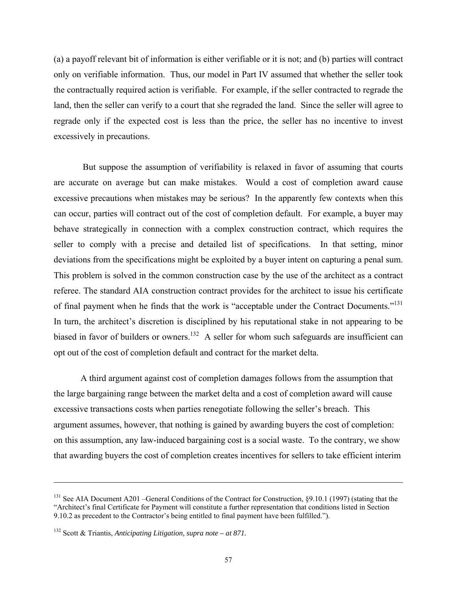(a) a payoff relevant bit of information is either verifiable or it is not; and (b) parties will contract only on verifiable information. Thus, our model in Part IV assumed that whether the seller took the contractually required action is verifiable. For example, if the seller contracted to regrade the land, then the seller can verify to a court that she regraded the land. Since the seller will agree to regrade only if the expected cost is less than the price, the seller has no incentive to invest excessively in precautions.

 But suppose the assumption of verifiability is relaxed in favor of assuming that courts are accurate on average but can make mistakes. Would a cost of completion award cause excessive precautions when mistakes may be serious? In the apparently few contexts when this can occur, parties will contract out of the cost of completion default. For example, a buyer may behave strategically in connection with a complex construction contract, which requires the seller to comply with a precise and detailed list of specifications. In that setting, minor deviations from the specifications might be exploited by a buyer intent on capturing a penal sum. This problem is solved in the common construction case by the use of the architect as a contract referee. The standard AIA construction contract provides for the architect to issue his certificate of final payment when he finds that the work is "acceptable under the Contract Documents."<sup>131</sup> In turn, the architect's discretion is disciplined by his reputational stake in not appearing to be biased in favor of builders or owners.<sup>132</sup> A seller for whom such safeguards are insufficient can opt out of the cost of completion default and contract for the market delta.

 A third argument against cost of completion damages follows from the assumption that the large bargaining range between the market delta and a cost of completion award will cause excessive transactions costs when parties renegotiate following the seller's breach. This argument assumes, however, that nothing is gained by awarding buyers the cost of completion: on this assumption, any law-induced bargaining cost is a social waste. To the contrary, we show that awarding buyers the cost of completion creates incentives for sellers to take efficient interim

l

<sup>&</sup>lt;sup>131</sup> See AIA Document A201 –General Conditions of the Contract for Construction, §9.10.1 (1997) (stating that the "Architect's final Certificate for Payment will constitute a further representation that conditions listed in Section 9.10.2 as precedent to the Contractor's being entitled to final payment have been fulfilled.").

<sup>132</sup> Scott & Triantis, *Anticipating Litigation, supra note – at 871.*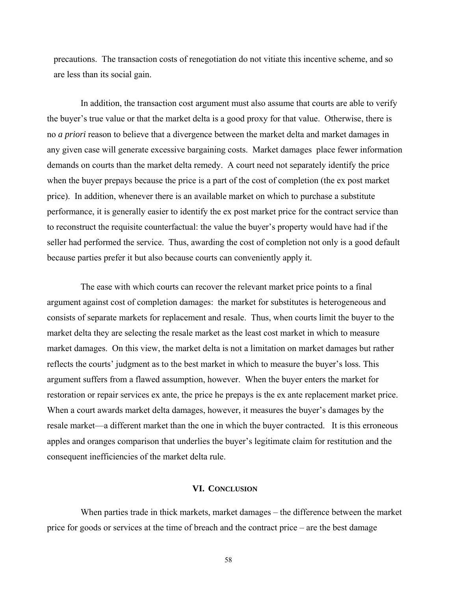precautions. The transaction costs of renegotiation do not vitiate this incentive scheme, and so are less than its social gain.

 In addition, the transaction cost argument must also assume that courts are able to verify the buyer's true value or that the market delta is a good proxy for that value. Otherwise, there is no *a priori* reason to believe that a divergence between the market delta and market damages in any given case will generate excessive bargaining costs. Market damages place fewer information demands on courts than the market delta remedy. A court need not separately identify the price when the buyer prepays because the price is a part of the cost of completion (the ex post market price). In addition, whenever there is an available market on which to purchase a substitute performance, it is generally easier to identify the ex post market price for the contract service than to reconstruct the requisite counterfactual: the value the buyer's property would have had if the seller had performed the service. Thus, awarding the cost of completion not only is a good default because parties prefer it but also because courts can conveniently apply it.

 The ease with which courts can recover the relevant market price points to a final argument against cost of completion damages: the market for substitutes is heterogeneous and consists of separate markets for replacement and resale. Thus, when courts limit the buyer to the market delta they are selecting the resale market as the least cost market in which to measure market damages. On this view, the market delta is not a limitation on market damages but rather reflects the courts' judgment as to the best market in which to measure the buyer's loss. This argument suffers from a flawed assumption, however. When the buyer enters the market for restoration or repair services ex ante, the price he prepays is the ex ante replacement market price. When a court awards market delta damages, however, it measures the buyer's damages by the resale market—a different market than the one in which the buyer contracted. It is this erroneous apples and oranges comparison that underlies the buyer's legitimate claim for restitution and the consequent inefficiencies of the market delta rule.

## **VI. CONCLUSION**

When parties trade in thick markets, market damages – the difference between the market price for goods or services at the time of breach and the contract price – are the best damage

58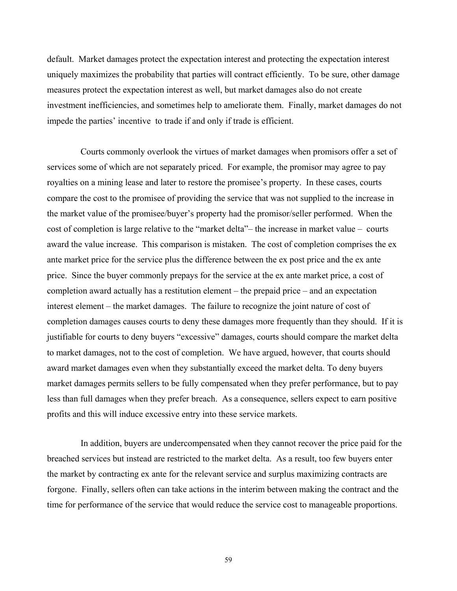default. Market damages protect the expectation interest and protecting the expectation interest uniquely maximizes the probability that parties will contract efficiently. To be sure, other damage measures protect the expectation interest as well, but market damages also do not create investment inefficiencies, and sometimes help to ameliorate them. Finally, market damages do not impede the parties' incentive to trade if and only if trade is efficient.

 Courts commonly overlook the virtues of market damages when promisors offer a set of services some of which are not separately priced. For example, the promisor may agree to pay royalties on a mining lease and later to restore the promisee's property. In these cases, courts compare the cost to the promisee of providing the service that was not supplied to the increase in the market value of the promisee/buyer's property had the promisor/seller performed. When the cost of completion is large relative to the "market delta"– the increase in market value – courts award the value increase. This comparison is mistaken. The cost of completion comprises the ex ante market price for the service plus the difference between the ex post price and the ex ante price. Since the buyer commonly prepays for the service at the ex ante market price, a cost of completion award actually has a restitution element – the prepaid price – and an expectation interest element – the market damages. The failure to recognize the joint nature of cost of completion damages causes courts to deny these damages more frequently than they should. If it is justifiable for courts to deny buyers "excessive" damages, courts should compare the market delta to market damages, not to the cost of completion. We have argued, however, that courts should award market damages even when they substantially exceed the market delta. To deny buyers market damages permits sellers to be fully compensated when they prefer performance, but to pay less than full damages when they prefer breach. As a consequence, sellers expect to earn positive profits and this will induce excessive entry into these service markets.

 In addition, buyers are undercompensated when they cannot recover the price paid for the breached services but instead are restricted to the market delta. As a result, too few buyers enter the market by contracting ex ante for the relevant service and surplus maximizing contracts are forgone. Finally, sellers often can take actions in the interim between making the contract and the time for performance of the service that would reduce the service cost to manageable proportions.

59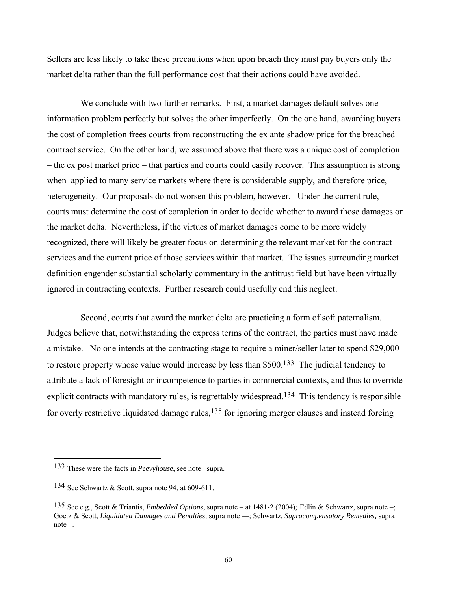Sellers are less likely to take these precautions when upon breach they must pay buyers only the market delta rather than the full performance cost that their actions could have avoided.

We conclude with two further remarks. First, a market damages default solves one information problem perfectly but solves the other imperfectly. On the one hand, awarding buyers the cost of completion frees courts from reconstructing the ex ante shadow price for the breached contract service. On the other hand, we assumed above that there was a unique cost of completion – the ex post market price – that parties and courts could easily recover. This assumption is strong when applied to many service markets where there is considerable supply, and therefore price, heterogeneity. Our proposals do not worsen this problem, however. Under the current rule, courts must determine the cost of completion in order to decide whether to award those damages or the market delta. Nevertheless, if the virtues of market damages come to be more widely recognized, there will likely be greater focus on determining the relevant market for the contract services and the current price of those services within that market. The issues surrounding market definition engender substantial scholarly commentary in the antitrust field but have been virtually ignored in contracting contexts. Further research could usefully end this neglect.

 Second, courts that award the market delta are practicing a form of soft paternalism. Judges believe that, notwithstanding the express terms of the contract, the parties must have made a mistake. No one intends at the contracting stage to require a miner/seller later to spend \$29,000 to restore property whose value would increase by less than \$500.133 The judicial tendency to attribute a lack of foresight or incompetence to parties in commercial contexts, and thus to override explicit contracts with mandatory rules, is regrettably widespread.<sup>134</sup> This tendency is responsible for overly restrictive liquidated damage rules, $135$  for ignoring merger clauses and instead forcing

<sup>133</sup> These were the facts in *Peevyhouse*, see note –supra.

<sup>134</sup> See Schwartz & Scott, supra note 94, at 609-611.

<sup>135</sup> See e.g., Scott & Triantis, *Embedded Options*, supra note – at 1481-2 (2004)*;* Edlin & Schwartz, supra note –; Goetz & Scott, *Liquidated Damages and Penalties,* supra note —; Schwartz, *Supracompensatory Remedies,* supra note –.